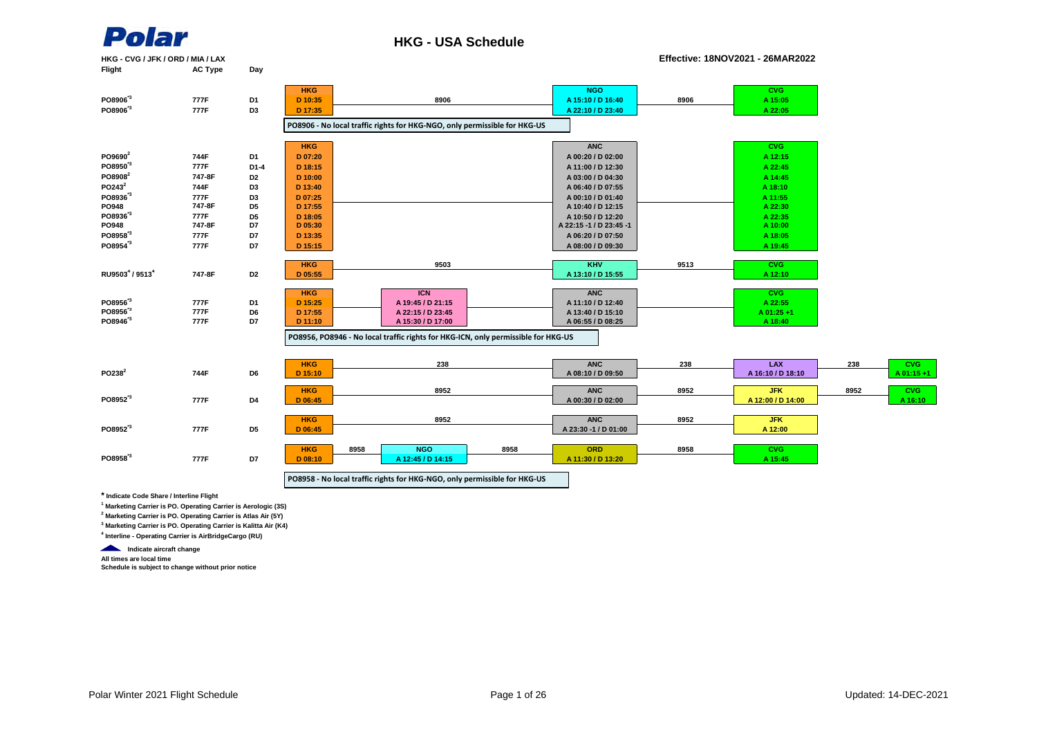

#### **HKG - USA Schedule**

**HKG - CVG / JFK / ORD / MIA / LAX Effective: 18NOV2021 - 26MAR2022**

| Flight               | <b>AC Type</b> | Day            |                    |                                                                                   |      |                         |      |                   |      |            |
|----------------------|----------------|----------------|--------------------|-----------------------------------------------------------------------------------|------|-------------------------|------|-------------------|------|------------|
|                      |                |                | <b>HKG</b>         |                                                                                   |      | <b>NGO</b>              |      | CVG.              |      |            |
| PO8906 <sup>*3</sup> | 777F           | D1             | D 10:35            | 8906                                                                              |      | A 15:10 / D 16:40       | 8906 | A 15:05           |      |            |
| PO8906 <sup>*3</sup> | 777F           | D <sub>3</sub> | D 17:35            |                                                                                   |      | A 22:10 / D 23:40       |      | A 22:05           |      |            |
|                      |                |                |                    | PO8906 - No local traffic rights for HKG-NGO, only permissible for HKG-US         |      |                         |      |                   |      |            |
|                      |                |                |                    |                                                                                   |      |                         |      |                   |      |            |
|                      |                |                | <b>HKG</b>         |                                                                                   |      | <b>ANC</b>              |      | CVG.              |      |            |
| PO9690 <sup>2</sup>  | 744F           | D1             | D 07:20            |                                                                                   |      | A 00:20 / D 02:00       |      | A 12:15           |      |            |
| PO8950 <sup>13</sup> | 777F           | $D1-4$         | D 18:15            |                                                                                   |      | A 11:00 / D 12:30       |      | A 22:45           |      |            |
| PO8908 <sup>2</sup>  | 747-8F         | D <sub>2</sub> | D 10:00            |                                                                                   |      | A 03:00 / D 04:30       |      | A 14:45           |      |            |
| PO243 <sup>2</sup>   | 744F           | D <sub>3</sub> | D 13:40            |                                                                                   |      | A 06:40 / D 07:55       |      | A 18:10           |      |            |
| PO8936 <sup>13</sup> | 777F           | D3             | D 07:25            |                                                                                   |      | A 00:10 / D 01:40       |      | A 11:55           |      |            |
| PO948                | 747-8F         | D <sub>5</sub> | D 17:55            |                                                                                   |      | A 10:40 / D 12:15       |      | A 22:30           |      |            |
| PO8936 <sup>*3</sup> | 777F           | D <sub>5</sub> | D 18:05            |                                                                                   |      | A 10:50 / D 12:20       |      | A 22:35           |      |            |
| PO948                | 747-8F         | D7             | D 05:30            |                                                                                   |      | A 22:15 -1 / D 23:45 -1 |      | A 10:00           |      |            |
| PO8958 <sup>3</sup>  | 777F           | D7             | D 13:35            |                                                                                   |      | A 06:20 / D 07:50       |      | A 18:05           |      |            |
| PO8954 <sup>3</sup>  | 777F           | D7             | D 15:15            |                                                                                   |      | A 08:00 / D 09:30       |      | A 19:45           |      |            |
|                      |                |                | <b>HKG</b>         | 9503                                                                              |      | <b>KHV</b>              | 9513 | <b>CVG</b>        |      |            |
| RU95034 / 95134      | 747-8F         | D <sub>2</sub> | D 05:55            |                                                                                   |      | A 13:10 / D 15:55       |      | A 12:10           |      |            |
|                      |                |                |                    |                                                                                   |      |                         |      |                   |      |            |
|                      |                |                | <b>HKG</b>         | <b>ICN</b>                                                                        |      | <b>ANC</b>              |      | <b>CVG</b>        |      |            |
| PO8956 <sup>13</sup> | 777F           | D1             | D 15:25            | A 19:45 / D 21:15                                                                 |      | A 11:10 / D 12:40       |      | A 22:55           |      |            |
| PO8956 <sup>3</sup>  | 777F           | D6             | D 17:55            | A 22:15 / D 23:45                                                                 |      | A 13:40 / D 15:10       |      | A 01:25+1         |      |            |
| PO8946 <sup>13</sup> | 777F           | D7             | D 11:10            | A 15:30 / D 17:00                                                                 |      | A 06:55 / D 08:25       |      | A 18:40           |      |            |
|                      |                |                |                    | PO8956, PO8946 - No local traffic rights for HKG-ICN, only permissible for HKG-US |      |                         |      |                   |      |            |
|                      |                |                |                    |                                                                                   |      |                         |      |                   |      |            |
|                      |                |                | <b>HKG</b>         | 238                                                                               |      | <b>ANC</b>              | 238  | <b>LAX</b>        | 238  | <b>CVG</b> |
| PO238 <sup>2</sup>   | 744F           | D <sub>6</sub> | D 15:10            |                                                                                   |      | A 08:10 / D 09:50       |      | A 16:10 / D 18:10 |      | A 01:15+1  |
|                      |                |                |                    |                                                                                   |      |                         |      |                   |      |            |
|                      |                |                | <b>HKG</b>         | 8952                                                                              |      | <b>ANC</b>              | 8952 | <b>JFK</b>        | 8952 | <b>CVG</b> |
| PO8952 <sup>3</sup>  | 777F           | D4             | D 06:45            |                                                                                   |      | A 00:30 / D 02:00       |      | A 12:00 / D 14:00 |      | A 16:10    |
|                      |                |                | <b>HKG</b>         | 8952                                                                              |      | <b>ANC</b>              | 8952 | <b>JFK</b>        |      |            |
| PO8952 <sup>3</sup>  | 777F           | D <sub>5</sub> | D 06:45            |                                                                                   |      | A 23:30 -1 / D 01:00    |      | A 12:00           |      |            |
|                      |                |                |                    |                                                                                   |      |                         |      |                   |      |            |
|                      |                |                | 8958<br><b>HKG</b> | <b>NGO</b>                                                                        | 8958 | <b>ORD</b>              | 8958 | <b>CVG</b>        |      |            |
| PO8958 <sup>*3</sup> | 777F           | D7             | $D$ 08:10          | A 12:45 / D 14:15                                                                 |      | A 11:30 / D 13:20       |      | A 15:45           |      |            |
|                      |                |                |                    |                                                                                   |      |                         |      |                   |      |            |
|                      |                |                |                    | PO8958 - No local traffic rights for HKG-NGO, only permissible for HKG-US         |      |                         |      |                   |      |            |

**\* Indicate Code Share / Interline Flight**

**1 Marketing Carrier is PO. Operating Carrier is Aerologic (3S)**

**2 Marketing Carrier is PO. Operating Carrier is Atlas Air (5Y)**

**3 Marketing Carrier is PO. Operating Carrier is Kalitta Air (K4)**

**4 Interline - Operating Carrier is AirBridgeCargo (RU)**

**Indicate aircraft change** 

**All times are local time**

**Schedule is subject to change without prior notice**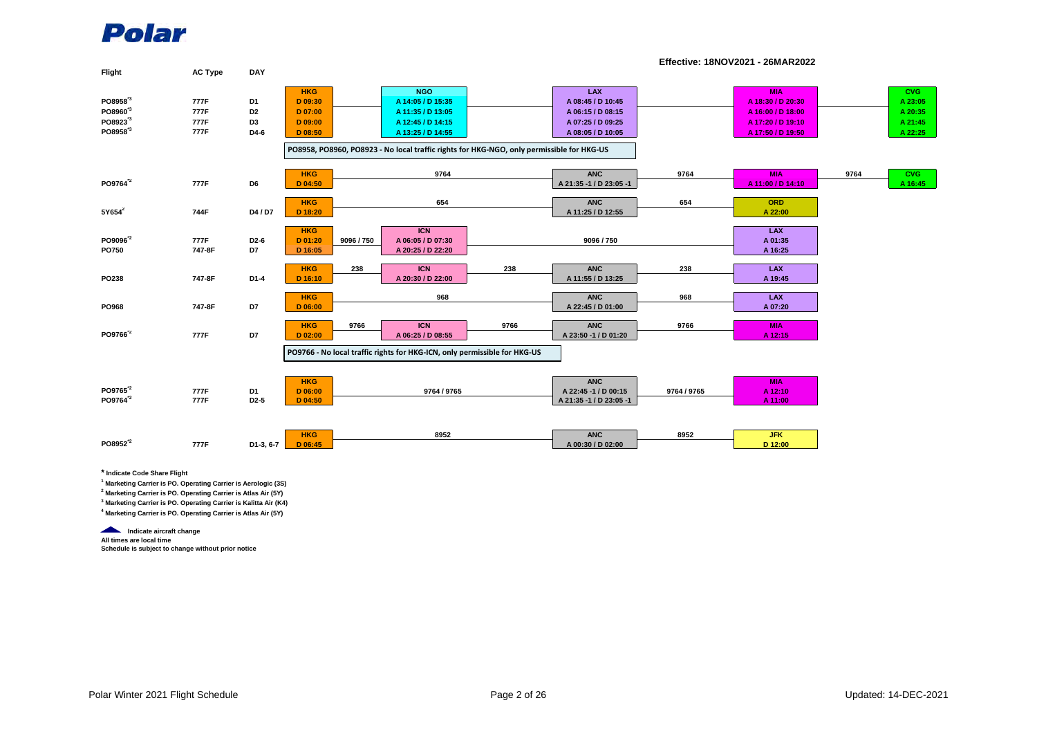| Flight                                                                                      | <b>AC Type</b>               | <b>DAY</b>                                                 |                                                          |            |                                                                                                                                                                                             |      |                                                                                         |             |                                                                                                |      |                                                        |
|---------------------------------------------------------------------------------------------|------------------------------|------------------------------------------------------------|----------------------------------------------------------|------------|---------------------------------------------------------------------------------------------------------------------------------------------------------------------------------------------|------|-----------------------------------------------------------------------------------------|-------------|------------------------------------------------------------------------------------------------|------|--------------------------------------------------------|
| PO8958 <sup>*3</sup><br>PO8960 <sup>13</sup><br>PO8923 <sup>'3</sup><br>PO8958 <sup>3</sup> | 777F<br>777F<br>777F<br>777F | D <sub>1</sub><br>D <sub>2</sub><br>D <sub>3</sub><br>D4-6 | <b>HKG</b><br>D 09:30<br>D 07:00<br>D 09:00<br>$D$ 08:50 |            | <b>NGO</b><br>A 14:05 / D 15:35<br>A 11:35 / D 13:05<br>A 12:45 / D 14:15<br>A 13:25 / D 14:55<br>PO8958, PO8960, PO8923 - No local traffic rights for HKG-NGO, only permissible for HKG-US |      | LAX<br>A 08:45 / D 10:45<br>A 06:15 / D 08:15<br>A 07:25 / D 09:25<br>A 08:05 / D 10:05 |             | <b>MIA</b><br>A 18:30 / D 20:30<br>A 16:00 / D 18:00<br>A 17:20 / D 19:10<br>A 17:50 / D 19:50 |      | <b>CVG</b><br>A 23:05<br>A 20:35<br>A 21:45<br>A 22:25 |
| PO9764 <sup>"2</sup>                                                                        | 777F                         | D <sub>6</sub>                                             | <b>HKG</b><br>$D$ 04:50                                  |            | 9764                                                                                                                                                                                        |      | <b>ANC</b><br>A 21:35 -1 / D 23:05 -1                                                   | 9764        | <b>MIA</b><br>A 11:00 / D 14:10                                                                | 9764 | <b>CVG</b><br>A 16:45                                  |
| $5Y654^2$                                                                                   | 744F                         | D4/D7                                                      | <b>HKG</b><br>D 18:20                                    |            | 654                                                                                                                                                                                         |      | <b>ANC</b><br>A 11:25 / D 12:55                                                         | 654         | ORD<br>A 22:00                                                                                 |      |                                                        |
| PO9096 <sup>2</sup><br><b>PO750</b>                                                         | 777F<br>747-8F               | D <sub>2</sub> -6<br>D7                                    | <b>HKG</b><br>D 01:20<br>D 16:05                         | 9096 / 750 | <b>ICN</b><br>A 06:05 / D 07:30<br>A 20:25 / D 22:20                                                                                                                                        |      | 9096 / 750                                                                              |             | <b>LAX</b><br>A 01:35<br>A 16:25                                                               |      |                                                        |
| PO238                                                                                       | 747-8F                       | $D1-4$                                                     | <b>HKG</b><br>D 16:10                                    | 238        | <b>ICN</b><br>A 20:30 / D 22:00                                                                                                                                                             | 238  | <b>ANC</b><br>A 11:55 / D 13:25                                                         | 238         | <b>LAX</b><br>A 19:45                                                                          |      |                                                        |
| PO968                                                                                       | 747-8F                       | D7                                                         | <b>HKG</b><br>D 06:00                                    |            | 968                                                                                                                                                                                         |      | <b>ANC</b><br>A 22:45 / D 01:00                                                         | 968         | <b>LAX</b><br>A 07:20                                                                          |      |                                                        |
| PO9766 <sup>*2</sup>                                                                        | 777F                         | D7                                                         | <b>HKG</b><br>$D$ 02:00                                  | 9766       | <b>ICN</b><br>A 06:25 / D 08:55                                                                                                                                                             | 9766 | <b>ANC</b><br>A 23:50 -1 / D 01:20                                                      | 9766        | <b>MIA</b><br>A 12:15                                                                          |      |                                                        |
|                                                                                             |                              |                                                            |                                                          |            | PO9766 - No local traffic rights for HKG-ICN, only permissible for HKG-US                                                                                                                   |      |                                                                                         |             |                                                                                                |      |                                                        |
| PO9765 <sup>*2</sup><br>PO9764 <sup>"2</sup>                                                | 777F<br>777F                 | D <sub>1</sub><br>D <sub>2</sub> -5                        | <b>HKG</b><br>D 06:00<br>$D$ 04:50                       |            | 9764 / 9765                                                                                                                                                                                 |      | <b>ANC</b><br>A 22:45 -1 / D 00:15<br>A 21:35 -1 / D 23:05 -1                           | 9764 / 9765 | <b>MIA</b><br>A 12:10<br>A 11:00                                                               |      |                                                        |
| PO8952 <sup>2</sup>                                                                         | 777F                         | D1-3, 6-7                                                  | <b>HKG</b><br>D 06:45                                    |            | 8952                                                                                                                                                                                        |      | <b>ANC</b><br>A 00:30 / D 02:00                                                         | 8952        | <b>JFK</b><br>D 12:00                                                                          |      |                                                        |

**Effective: 18NOV2021 - 26MAR2022**

**\* Indicate Code Share Flight**

**1 Marketing Carrier is PO. Operating Carrier is Aerologic (3S)**

**2 Marketing Carrier is PO. Operating Carrier is Atlas Air (5Y)**

**3 Marketing Carrier is PO. Operating Carrier is Kalitta Air (K4)**

**4 Marketing Carrier is PO. Operating Carrier is Atlas Air (5Y)** 

**Indicate aircraft change** 

**All times are local time Schedule is subject to change without prior notice**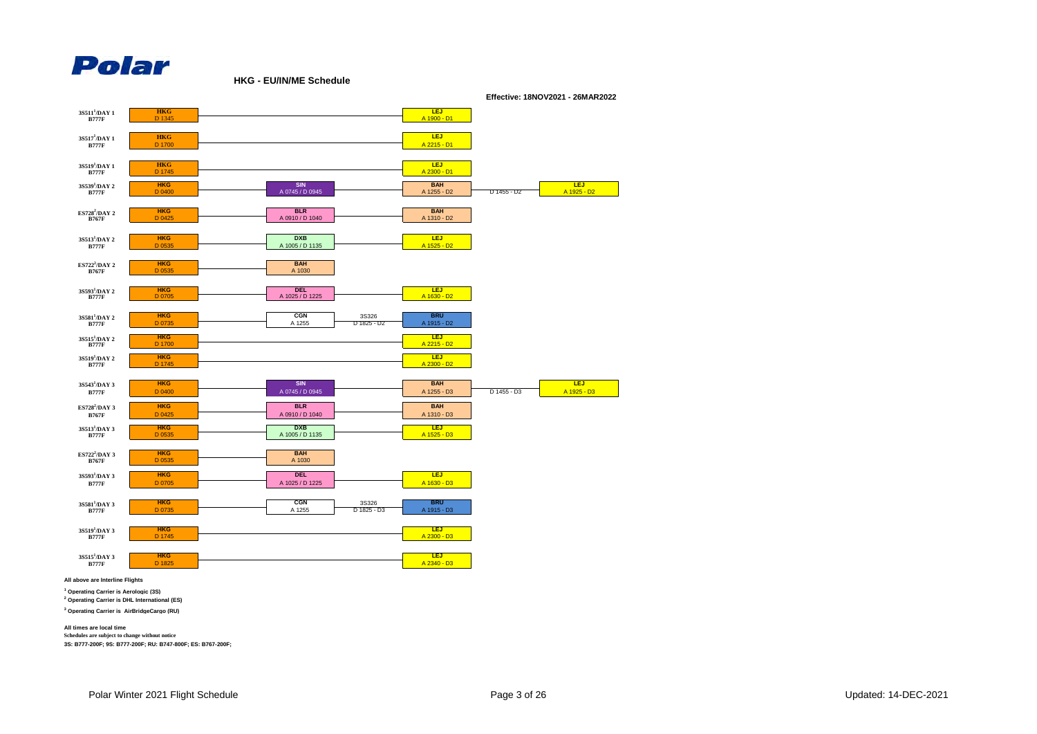

**HKG - EU/IN/ME Schedule**



**All above are Interline Flights**

**1 Operating Carrier is Aerologic (3S) 2 Operating Carrier is DHL International (ES)**

**3 Operating Carrier is AirBridgeCargo (RU)**

**All times are local time Schedules are subject to change without notice**

**3S: B777-200F; 9S: B777-200F; RU: B747-800F; ES: B767-200F;**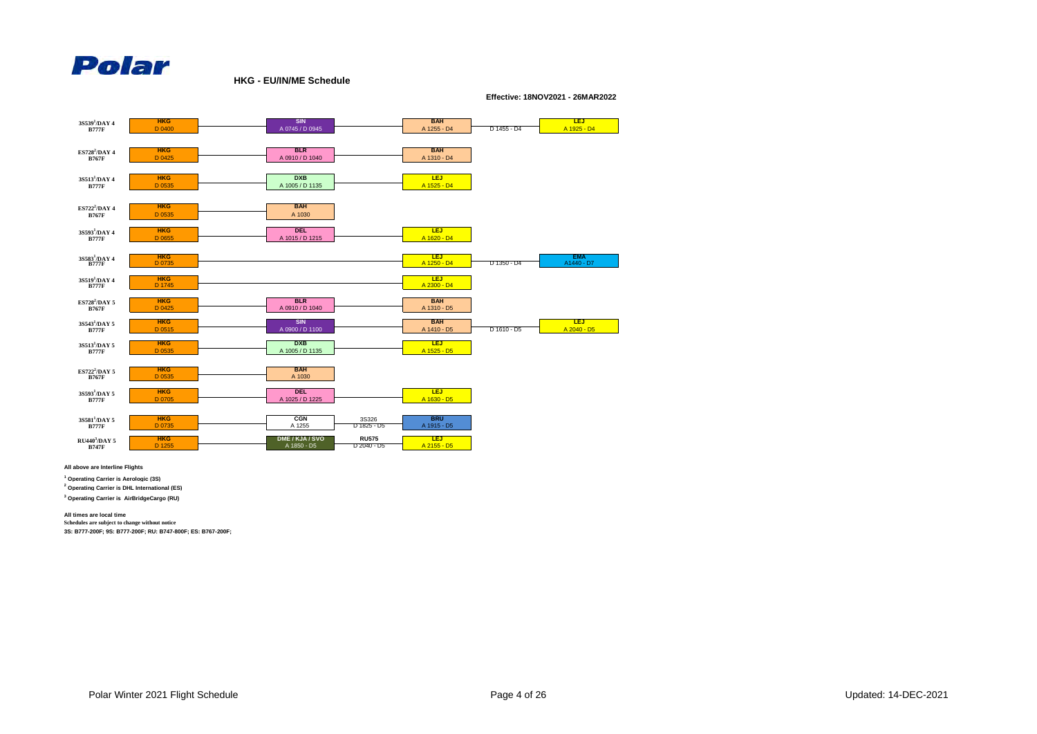

**HKG - EU/IN/ME Schedule**

**Effective: 18NOV2021 - 26MAR2022**



**All above are Interline Flights**

**1 Operating Carrier is Aerologic (3S)**

**2 Operating Carrier is DHL International (ES)**

**3 Operating Carrier is AirBridgeCargo (RU)**

**All times are local time**

**Schedules are subject to change without notice**

**3S: B777-200F; 9S: B777-200F; RU: B747-800F; ES: B767-200F;**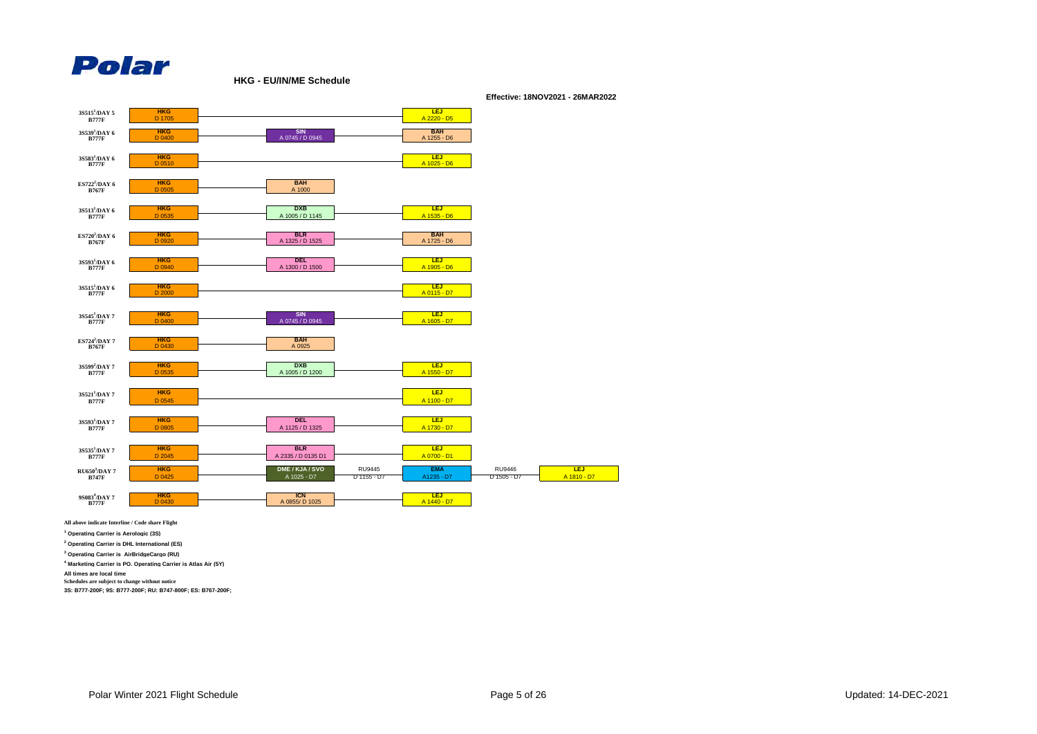

**HKG - EU/IN/ME Schedule**



**Effective: 18NOV2021 - 26MAR2022**

**All above indicate Interline / Code share Flight**

**1 Operating Carrier is Aerologic (3S)**

**2 Operating Carrier is DHL International (ES)**

**3 Operating Carrier is AirBridgeCargo (RU)**

**4 Marketing Carrier is PO. Operating Carrier is Atlas Air (5Y)**

**All times are local time**

**Schedules are subject to change without notice**

**3S: B777-200F; 9S: B777-200F; RU: B747-800F; ES: B767-200F;**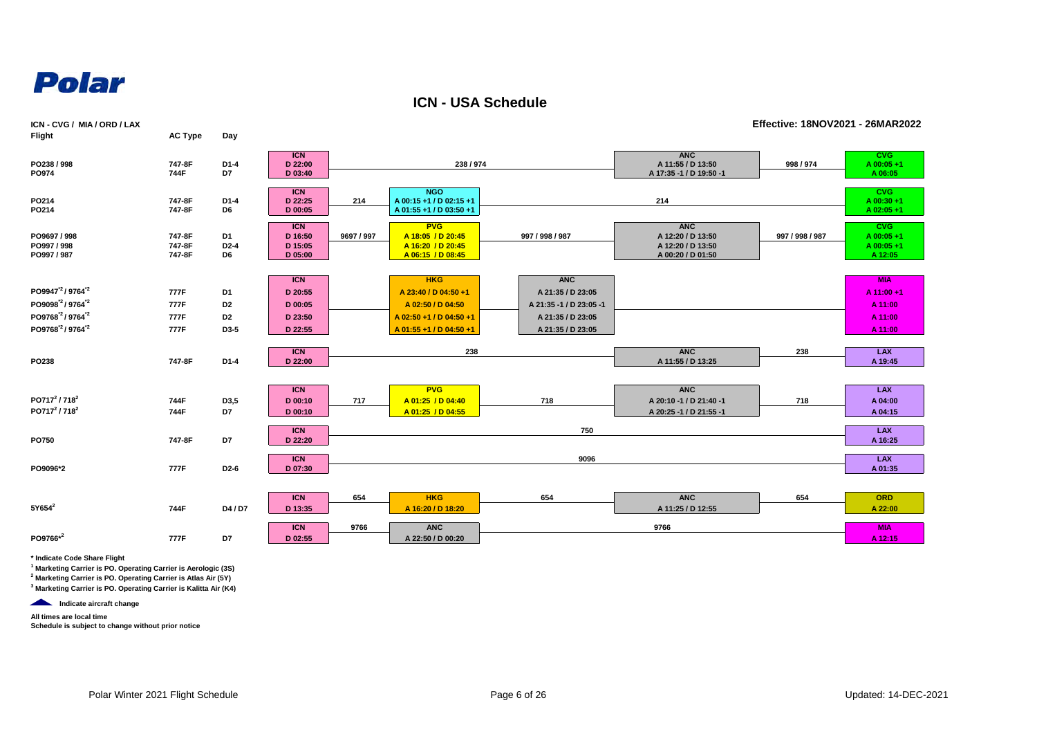

**ICN - USA Schedule**

| ICN - CVG / MIA / ORD / LAX                                                                                                                                              |                              |                                                |                                                        |            |                                                                                                               |                                                                                                      |                                                                           | Effective: 18NOV2021 - 26MAR2022 |                                                          |
|--------------------------------------------------------------------------------------------------------------------------------------------------------------------------|------------------------------|------------------------------------------------|--------------------------------------------------------|------------|---------------------------------------------------------------------------------------------------------------|------------------------------------------------------------------------------------------------------|---------------------------------------------------------------------------|----------------------------------|----------------------------------------------------------|
| Flight                                                                                                                                                                   | <b>AC Type</b>               | Day                                            |                                                        |            |                                                                                                               |                                                                                                      |                                                                           |                                  |                                                          |
| PO238 / 998<br>PO974                                                                                                                                                     | 747-8F<br>744F               | $D1-4$<br>D7                                   | <b>ICN</b><br>D 22:00<br>D 03:40                       |            | 238 / 974                                                                                                     |                                                                                                      | <b>ANC</b><br>A 11:55 / D 13:50<br>A 17:35 -1 / D 19:50 -1                | 998 / 974                        | <b>CVG</b><br>A 00:05+1<br>A 06:05                       |
| PO214<br>PO214                                                                                                                                                           | 747-8F<br>747-8F             | $D1-4$<br>D6                                   | <b>ICN</b><br>D 22:25<br>D 00:05                       | 214        | <b>NGO</b><br>A 00:15 +1 / D 02:15 +1<br>A 01:55 +1 / D 03:50 +1                                              |                                                                                                      | 214                                                                       |                                  | <b>CVG</b><br>$A$ 00:30+1<br>A 02:05+1                   |
| PO9697 / 998<br>PO997 / 998<br>PO997 / 987                                                                                                                               | 747-8F<br>747-8F<br>747-8F   | D1<br>$D2-4$<br>D6                             | <b>ICN</b><br>D 16:50<br>D 15:05<br>D 05:00            | 9697 / 997 | <b>PVG</b><br>A 18:05 / D 20:45<br>A 16:20 / D 20:45<br>A 06:15 / D 08:45                                     | 997 / 998 / 987                                                                                      | <b>ANC</b><br>A 12:20 / D 13:50<br>A 12:20 / D 13:50<br>A 00:20 / D 01:50 | 997 / 998 / 987                  | <b>CVG</b><br>A 00:05+1<br>A 00:05+1<br>A 12:05          |
| PO9947 <sup>"2</sup> /9764 <sup>"2</sup><br>PO9098 <sup>2</sup> /9764 <sup>2</sup><br>PO9768 <sup>2</sup> /9764 <sup>2</sup><br>PO9768 <sup>"2</sup> /9764 <sup>"2</sup> | 777F<br>777F<br>777F<br>777F | D1<br>D <sub>2</sub><br>D <sub>2</sub><br>D3-5 | <b>ICN</b><br>D 20:55<br>D 00:05<br>D 23:50<br>D 22:55 |            | <b>HKG</b><br>A 23:40 / D 04:50 +1<br>A 02:50 / D 04:50<br>A 02:50 +1 / D 04:50 +1<br>A 01:55 +1 / D 04:50 +1 | <b>ANC</b><br>A 21:35 / D 23:05<br>A 21:35 -1 / D 23:05 -1<br>A 21:35 / D 23:05<br>A 21:35 / D 23:05 |                                                                           |                                  | <b>MIA</b><br>A 11:00+1<br>A 11:00<br>A 11:00<br>A 11:00 |
| PO238                                                                                                                                                                    | 747-8F                       | $D1-4$                                         | <b>ICN</b><br>D 22:00                                  |            | 238                                                                                                           |                                                                                                      | <b>ANC</b><br>A 11:55 / D 13:25                                           | 238                              | <b>LAX</b><br>A 19:45                                    |
| PO717 <sup>2</sup> / 718 <sup>2</sup><br>PO717 <sup>2</sup> / 718 <sup>2</sup>                                                                                           | 744F<br>744F                 | D3,5<br>D7                                     | <b>ICN</b><br>D 00:10<br>D 00:10                       | 717        | <b>PVG</b><br>A 01:25 / D 04:40<br>A 01:25 / D 04:55                                                          | 718                                                                                                  | <b>ANC</b><br>A 20:10 -1 / D 21:40 -1<br>A 20:25 -1 / D 21:55 -1          | 718                              | <b>LAX</b><br>A 04:00<br>A 04:15                         |
| PO750                                                                                                                                                                    | 747-8F                       | D7                                             | <b>ICN</b><br>D 22:20                                  |            |                                                                                                               | 750                                                                                                  |                                                                           |                                  | <b>LAX</b><br>A 16:25                                    |
| PO9096*2                                                                                                                                                                 | 777F                         | D <sub>2</sub> -6                              | <b>ICN</b><br>D 07:30                                  |            |                                                                                                               | 9096                                                                                                 |                                                                           |                                  | <b>LAX</b><br>A 01:35                                    |
| $5Y654^2$                                                                                                                                                                | 744F                         | D4 / D7                                        | <b>ICN</b><br>D 13:35                                  | 654        | <b>HKG</b><br>A 16:20 / D 18:20                                                                               | 654                                                                                                  | <b>ANC</b><br>A 11:25 / D 12:55                                           | 654                              | <b>ORD</b><br>A 22:00                                    |
| PO9766*2                                                                                                                                                                 | 777F                         | D7                                             | <b>ICN</b><br>D 02:55                                  | 9766       | <b>ANC</b><br>A 22:50 / D 00:20                                                                               |                                                                                                      | 9766                                                                      |                                  | <b>MIA</b><br>A 12:15                                    |

**\* Indicate Code Share Flight**

**1 Marketing Carrier is PO. Operating Carrier is Aerologic (3S)**

**2 Marketing Carrier is PO. Operating Carrier is Atlas Air (5Y) 3 Marketing Carrier is PO. Operating Carrier is Kalitta Air (K4)**

*Indicate aircraft change* 

**All times are local time**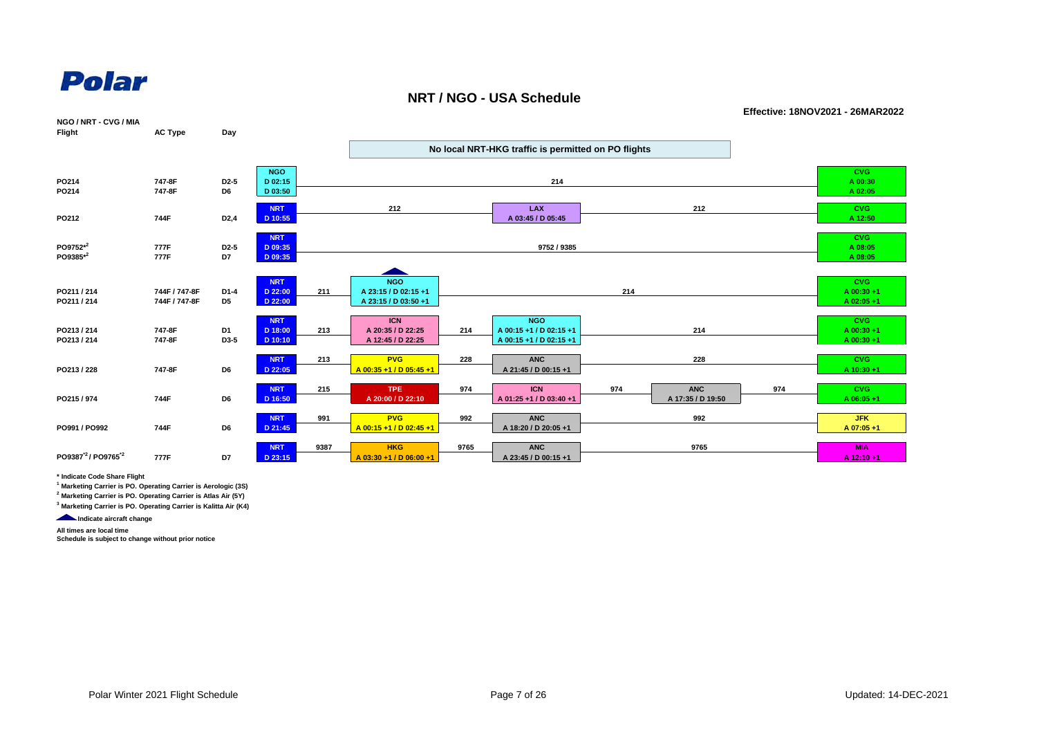

#### **NRT / NGO - USA Schedule**

**Effective: 18NOV2021 - 26MAR2022**

| NGO / NRT - CVG / MIA<br>Flight             | <b>AC Type</b>                 | Day                                 |                                    |      |                                                            |      |                                                                  |     |                                 |     |                                           |  |
|---------------------------------------------|--------------------------------|-------------------------------------|------------------------------------|------|------------------------------------------------------------|------|------------------------------------------------------------------|-----|---------------------------------|-----|-------------------------------------------|--|
|                                             |                                |                                     |                                    |      | No local NRT-HKG traffic is permitted on PO flights        |      |                                                                  |     |                                 |     |                                           |  |
| PO214<br>PO214                              | 747-8F<br>747-8F               | D <sub>2</sub> -5<br>D <sub>6</sub> | <b>NGO</b><br>D 02:15<br>D 03:50   |      |                                                            |      | 214                                                              |     |                                 |     | <b>CVG</b><br>A 00:30<br>A 02:05          |  |
| PO212                                       | 744F                           | D <sub>2</sub> ,4                   | <b>NRT</b><br>D 10:55              |      | 212                                                        |      | <b>LAX</b><br>A 03:45 / D 05:45                                  |     | 212                             |     | <b>CVG</b><br>A 12:50                     |  |
| PO9752 <sup>*2</sup><br>PO9385*2            | 777F<br>777F                   | D <sub>2</sub> -5<br>D7             | <b>NRT</b><br>D 09:35<br>D 09:35   |      |                                                            |      | 9752 / 9385                                                      |     |                                 |     | <b>CVG</b><br>A 08:05<br>A 08:05          |  |
| PO211 / 214<br>PO211 / 214                  | 744F / 747-8F<br>744F / 747-8F | $D1-4$<br>D <sub>5</sub>            | <b>NRT</b><br>D 22:00<br>D 22:00   | 211  | <b>NGO</b><br>A 23:15 / D 02:15 +1<br>A 23:15 / D 03:50 +1 |      |                                                                  | 214 |                                 |     | <b>CVG</b><br>$A$ 00:30 +1<br>A 02:05+1   |  |
| PO213 / 214<br>PO213 / 214                  | 747-8F<br>747-8F               | D1<br>D3-5                          | <b>NRT</b><br>D 18:00<br>$D$ 10:10 | 213  | <b>ICN</b><br>A 20:35 / D 22:25<br>A 12:45 / D 22:25       | 214  | <b>NGO</b><br>A 00:15 +1 / D 02:15 +1<br>A 00:15 +1 / D 02:15 +1 |     | 214                             |     | <b>CVG</b><br>$A$ 00:30 +1<br>$A$ 00:30+1 |  |
| PO213 / 228                                 | 747-8F                         | D <sub>6</sub>                      | <b>NRT</b><br>D 22:05              | 213  | <b>PVG</b><br>A 00:35 +1 / D 05:45 +1                      | 228  | <b>ANC</b><br>A 21:45 / D 00:15 +1                               |     | 228                             |     | <b>CVG</b><br>A 10:30 +1                  |  |
| PO215 / 974                                 | 744F                           | D6                                  | <b>NRT</b><br>D 16:50              | 215  | <b>TPE</b><br>A 20:00 / D 22:10                            | 974  | <b>ICN</b><br>A 01:25 +1 / D 03:40 +1                            | 974 | <b>ANC</b><br>A 17:35 / D 19:50 | 974 | <b>CVG</b><br>$A$ 06:05+1                 |  |
| PO991 / PO992                               | 744F                           | D6                                  | <b>NRT</b><br>D 21:45              | 991  | <b>PVG</b><br>A 00:15 +1 / D 02:45 +1                      | 992  | <b>ANC</b><br>A 18:20 / D 20:05 +1                               |     | 992                             |     | <b>JFK</b><br>A 07:05 +1                  |  |
| PO9387 <sup>'2</sup> / PO9765 <sup>'2</sup> | 777F                           | D7                                  | <b>NRT</b><br>D 23:15              | 9387 | <b>HKG</b><br>A 03:30 +1 / D 06:00 +1                      | 9765 | <b>ANC</b><br>A 23:45 / D 00:15 +1                               |     | 9765                            |     | <b>MIA</b><br>A 12:10+1                   |  |

**\* Indicate Code Share Flight**

**1 Marketing Carrier is PO. Operating Carrier is Aerologic (3S)**

**2 Marketing Carrier is PO. Operating Carrier is Atlas Air (5Y)**

**3 Marketing Carrier is PO. Operating Carrier is Kalitta Air (K4)**

**Indicate aircraft change** 

**All times are local time**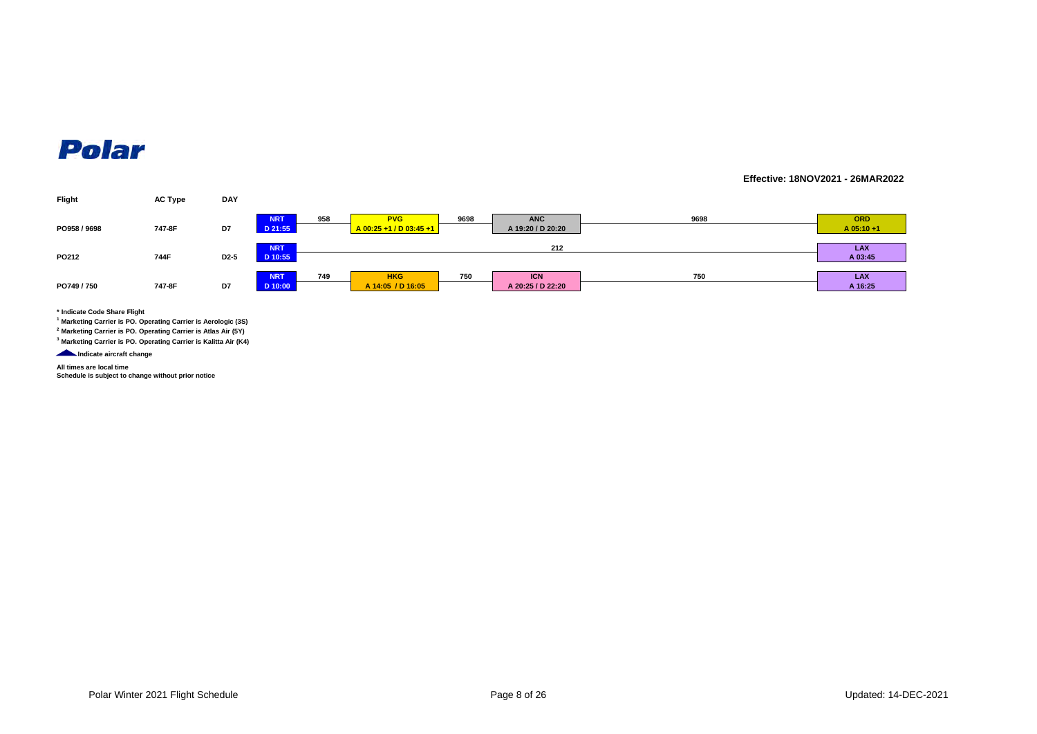#### **Effective: 18NOV2021 - 26MAR2022**



**\* Indicate Code Share Flight**

**1 Marketing Carrier is PO. Operating Carrier is Aerologic (3S)**

**2 Marketing Carrier is PO. Operating Carrier is Atlas Air (5Y)**

**3 Marketing Carrier is PO. Operating Carrier is Kalitta Air (K4)**

**Indicate aircraft change** 

**All times are local time Schedule is subject to change without prior notice**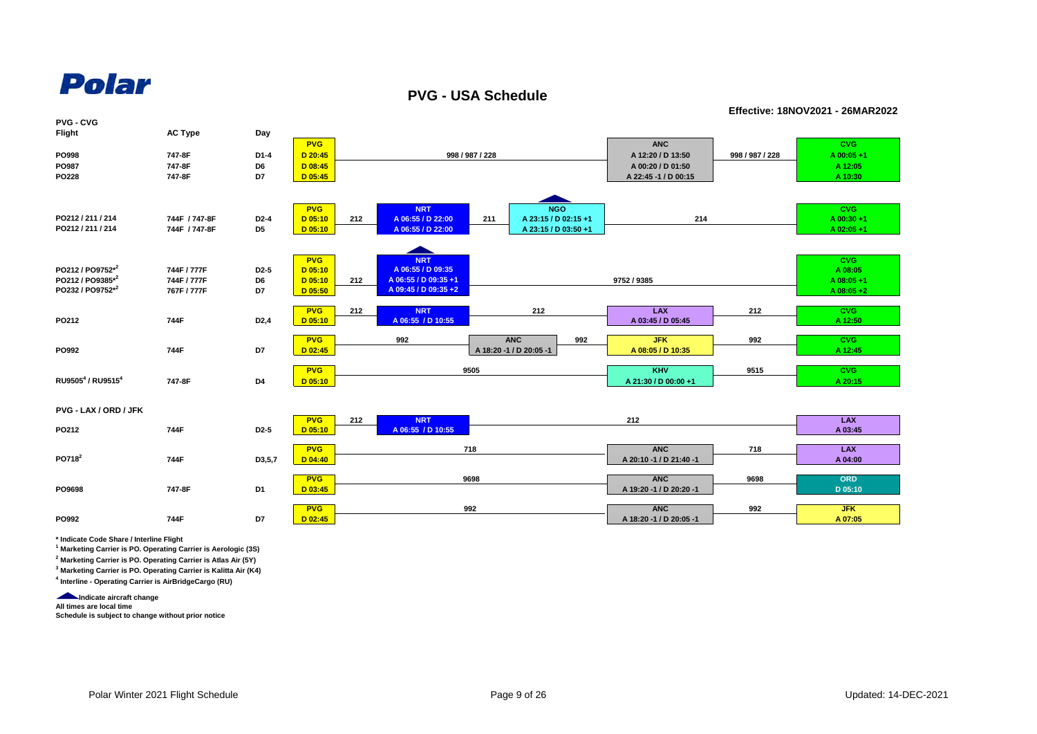

**PVG - USA Schedule**

**Effective: 18NOV2021 - 26MAR2022**

| <b>PVG - CVG</b>      |                |                   |            |     |                      |                 |                         |     |                         |                 |              |
|-----------------------|----------------|-------------------|------------|-----|----------------------|-----------------|-------------------------|-----|-------------------------|-----------------|--------------|
| Flight                | <b>AC Type</b> | Day               |            |     |                      |                 |                         |     |                         |                 |              |
|                       |                |                   | <b>PVG</b> |     |                      |                 |                         |     | <b>ANC</b>              |                 | <b>CVG</b>   |
| PO998                 | 747-8F         | D1-4              | D 20:45    |     |                      | 998 / 987 / 228 |                         |     | A 12:20 / D 13:50       | 998 / 987 / 228 | A 00:05+1    |
| PO987                 | 747-8F         | D6                | $D$ 08:45  |     |                      |                 | A 00:20 / D 01:50       |     | A 12:05                 |                 |              |
| PO228                 | 747-8F         | D7                | D 05:45    |     |                      |                 | A 22:45 -1 / D 00:15    |     | A 10:30                 |                 |              |
|                       |                |                   |            |     |                      |                 |                         |     |                         |                 |              |
|                       |                |                   |            |     |                      |                 |                         |     |                         |                 |              |
|                       |                |                   | <b>PVG</b> |     | <b>NRT</b>           |                 | <b>NGO</b>              |     |                         |                 | <b>CVG</b>   |
| PO212 / 211 / 214     | 744F / 747-8F  | D <sub>2</sub> -4 | $D$ 05:10  | 212 | A 06:55 / D 22:00    | 211             | A 23:15 / D 02:15 +1    |     | 214                     |                 | $A$ 00:30+1  |
| PO212 / 211 / 214     | 744F / 747-8F  | D <sub>5</sub>    | $D$ 05:10  |     | A 06:55 / D 22:00    |                 | A 23:15 / D 03:50 +1    |     |                         |                 | A 02:05+1    |
|                       |                |                   |            |     |                      |                 |                         |     |                         |                 |              |
|                       |                |                   |            |     |                      |                 |                         |     |                         |                 |              |
|                       |                |                   | <b>PVG</b> |     | <b>NRT</b>           |                 |                         |     |                         |                 | <b>CVG</b>   |
| PO212 / PO9752*2      | 744F / 777F    | D <sub>2</sub> -5 | $D$ 05:10  |     | A 06:55 / D 09:35    |                 |                         |     |                         |                 | A 08:05      |
| PO212 / PO9385*2      | 744F / 777F    | D6                | $D$ 05:10  | 212 | A 06:55 / D 09:35 +1 |                 |                         |     | 9752 / 9385             |                 | A 08:05+1    |
| PO232 / PO9752*2      | 767F / 777F    | D7                | $D$ 05:50  |     | A 09:45 / D 09:35 +2 |                 |                         |     |                         |                 | $A$ 08:05 +2 |
|                       |                |                   |            |     |                      |                 |                         |     |                         |                 |              |
|                       | 744F           |                   | <b>PVG</b> | 212 | <b>NRT</b>           |                 | 212                     |     | <b>LAX</b>              | 212             | <b>CVG</b>   |
| PO212                 |                | D <sub>2</sub> ,4 | $D$ 05:10  |     | A 06:55 / D 10:55    |                 |                         |     | A 03:45 / D 05:45       |                 | A 12:50      |
|                       |                |                   | <b>PVG</b> |     | 992                  |                 | <b>ANC</b>              | 992 | <b>JFK</b>              | 992             | <b>CVG</b>   |
| PO992                 | 744F           | D7                | $D$ 02:45  |     |                      |                 | A 18:20 -1 / D 20:05 -1 |     | A 08:05 / D 10:35       |                 | A 12:45      |
|                       |                |                   |            |     |                      |                 |                         |     |                         |                 |              |
|                       |                |                   | <b>PVG</b> |     |                      | 9505            |                         |     | <b>KHV</b>              | 9515            | <b>CVG</b>   |
| RU95054 / RU95154     | 747-8F         | D4                | $D$ 05:10  |     |                      |                 |                         |     | A 21:30 / D 00:00 +1    |                 | A 20:15      |
|                       |                |                   |            |     |                      |                 |                         |     |                         |                 |              |
|                       |                |                   |            |     |                      |                 |                         |     |                         |                 |              |
| PVG - LAX / ORD / JFK |                |                   |            |     |                      |                 |                         |     |                         |                 |              |
|                       |                |                   | <b>PVG</b> | 212 | <b>NRT</b>           |                 |                         |     | 212                     |                 | <b>LAX</b>   |
| PO212                 | 744F           | D <sub>2</sub> -5 | $D$ 05:10  |     | A 06:55 / D 10:55    |                 |                         |     |                         |                 | A 03:45      |
|                       |                |                   |            |     |                      |                 |                         |     |                         |                 |              |
| PO718 <sup>2</sup>    |                |                   | <b>PVG</b> |     |                      | 718             |                         |     | <b>ANC</b>              | 718             | <b>LAX</b>   |
|                       | 744F           | D3,5,7            | $D$ 04:40  |     |                      |                 |                         |     | A 20:10 -1 / D 21:40 -1 |                 | A 04:00      |
|                       |                |                   | <b>PVG</b> |     |                      | 9698            |                         |     | <b>ANC</b>              | 9698            | ORD          |
| PO9698                | 747-8F         | D <sub>1</sub>    | $D$ 03:45  |     |                      |                 |                         |     | A 19:20 -1 / D 20:20 -1 |                 | D 05:10      |
|                       |                |                   |            |     |                      |                 |                         |     |                         |                 |              |
|                       |                |                   | <b>PVG</b> |     |                      | 992             |                         |     | <b>ANC</b>              | 992             | <b>JFK</b>   |
| PO992                 | 744F           | D7                | $D$ 02:45  |     |                      |                 |                         |     | A 18:20 -1 / D 20:05 -1 |                 | A 07:05      |
|                       |                |                   |            |     |                      |                 |                         |     |                         |                 |              |

**\* Indicate Code Share / Interline Flight**

**1 Marketing Carrier is PO. Operating Carrier is Aerologic (3S)**

**2 Marketing Carrier is PO. Operating Carrier is Atlas Air (5Y)**

**3 Marketing Carrier is PO. Operating Carrier is Kalitta Air (K4) 4 Interline - Operating Carrier is AirBridgeCargo (RU)**

**Indicate aircraft change** 

**All times are local time**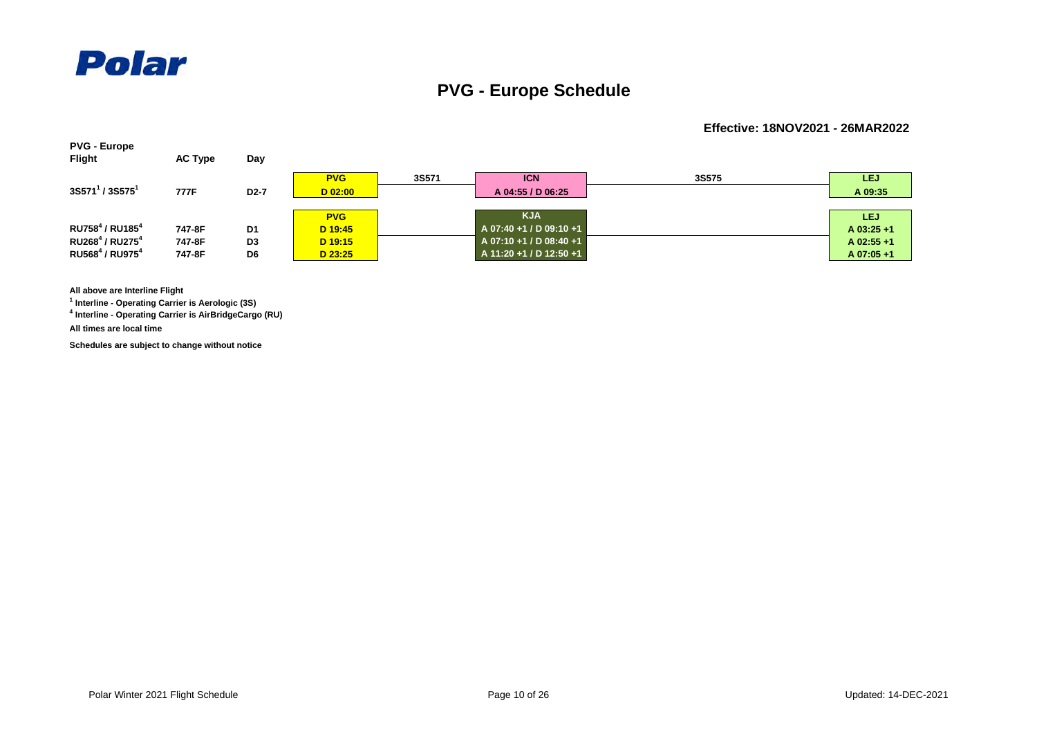

### **PVG - Europe Schedule**

#### **Effective: 18NOV2021 - 26MAR2022**



**All above are Interline Flight**

**1 Interline - Operating Carrier is Aerologic (3S)**

**4 Interline - Operating Carrier is AirBridgeCargo (RU)**

**All times are local time**

**Schedules are subject to change without notice**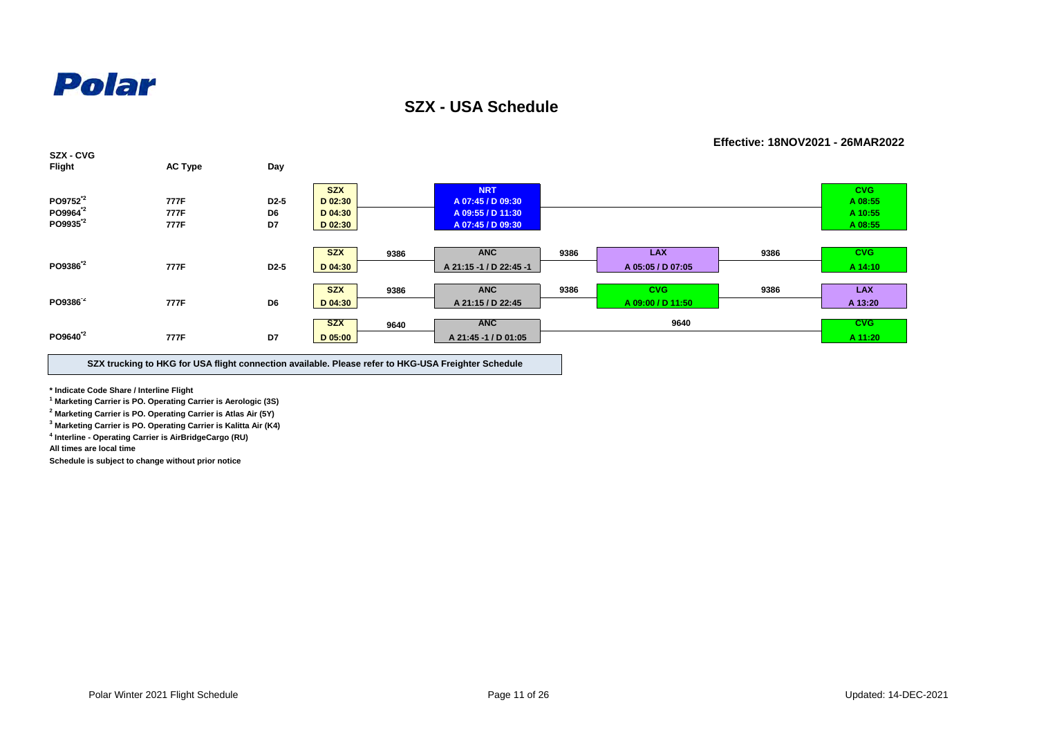

**SZX - USA Schedule**

**SZX - CVG Flight AC Type Day PO9752\*2 777F D2-5 PO9964\*2 777F D6 PO9935\*2 777F D7 9386 PO9386\*2 777F D2-5 9386 SZX ANC PO9386\*2 777F D6 9640 PO9640\*2 777F D7 D 04:30 A 09:55 / D 11:30 A 10:55 CVG A 14:10 9386 LAX 9386 A 05:05 / D 07:05 D 05:00 A 21:45 -1 / D 01:05 A 11:20 ANC 9640 CVG CVG LAX D 04:30 A 21:15 / D 22:45 A 09:00 / D 11:50 A 13:20 9386 9386 SZX | CVG** | NRT | NRT | CVG | CVG **D 02:30 A 07:45 / D 09:30 A 08:55 D 02:30 A 07:45 / D 09:30 A 08:55 SZX D 04:30 ANC A 21:15 -1 / D 22:45 -1 SZX**

**SZX trucking to HKG for USA flight connection available. Please refer to HKG-USA Freighter Schedule**

**\* Indicate Code Share / Interline Flight**

**1 Marketing Carrier is PO. Operating Carrier is Aerologic (3S)**

**2 Marketing Carrier is PO. Operating Carrier is Atlas Air (5Y)**

**3 Marketing Carrier is PO. Operating Carrier is Kalitta Air (K4)**

**4 Interline - Operating Carrier is AirBridgeCargo (RU)**

**All times are local time**

**Schedule is subject to change without prior notice**

**Effective: 18NOV2021 - 26MAR2022**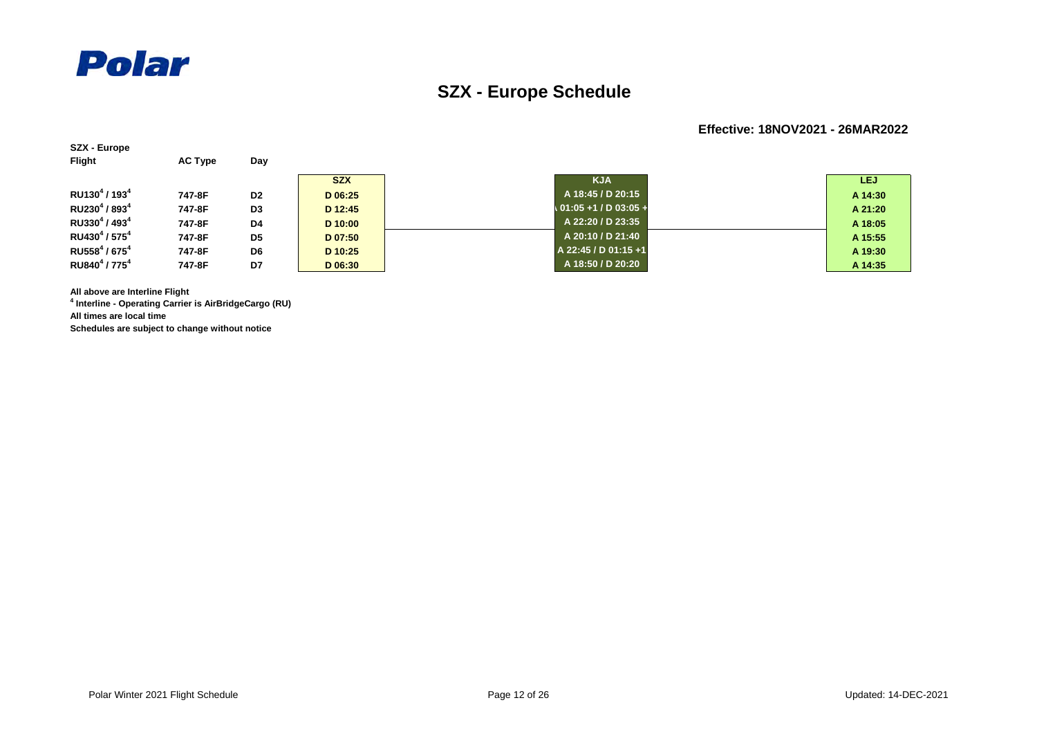

**SZX - Europe**

### **SZX - Europe Schedule**

#### **Effective: 18NOV2021 - 26MAR2022**

| <b>Flight</b>                         | <b>AC Type</b> | Day            |            |                         |         |
|---------------------------------------|----------------|----------------|------------|-------------------------|---------|
|                                       |                |                | <b>SZX</b> | <b>KJA</b>              | LEJ.    |
| RU130 <sup>4</sup> / 193 <sup>4</sup> | 747-8F         | D <sub>2</sub> | D 06:25    | A 18:45 / D 20:15       | A 14:30 |
| RU230 <sup>4</sup> / 893 <sup>4</sup> | 747-8F         | D <sub>3</sub> | D 12:45    | $01:05 + 1 / D 03:05 +$ | A 21:20 |
| RU330 <sup>4</sup> / 493 <sup>4</sup> | 747-8F         | D <sub>4</sub> | D 10:00    | A 22:20 / D 23:35       | A 18:05 |
| RU430 <sup>4</sup> / 575 <sup>4</sup> | 747-8F         | D <sub>5</sub> | D 07:50    | A 20:10 / D 21:40       | A 15:55 |
| RU558 $4/675$ <sup>4</sup>            | 747-8F         | D <sub>6</sub> | D 10:25    | A 22:45 / D 01:15 +1    | A 19:30 |
| RU840 <sup>4</sup> / 775 <sup>4</sup> | 747-8F         | D7             | D 06:30    | A 18:50 / D 20:20       | A 14:35 |

**All above are Interline Flight**

**4 Interline - Operating Carrier is AirBridgeCargo (RU) All times are local time**

**Schedules are subject to change without notice**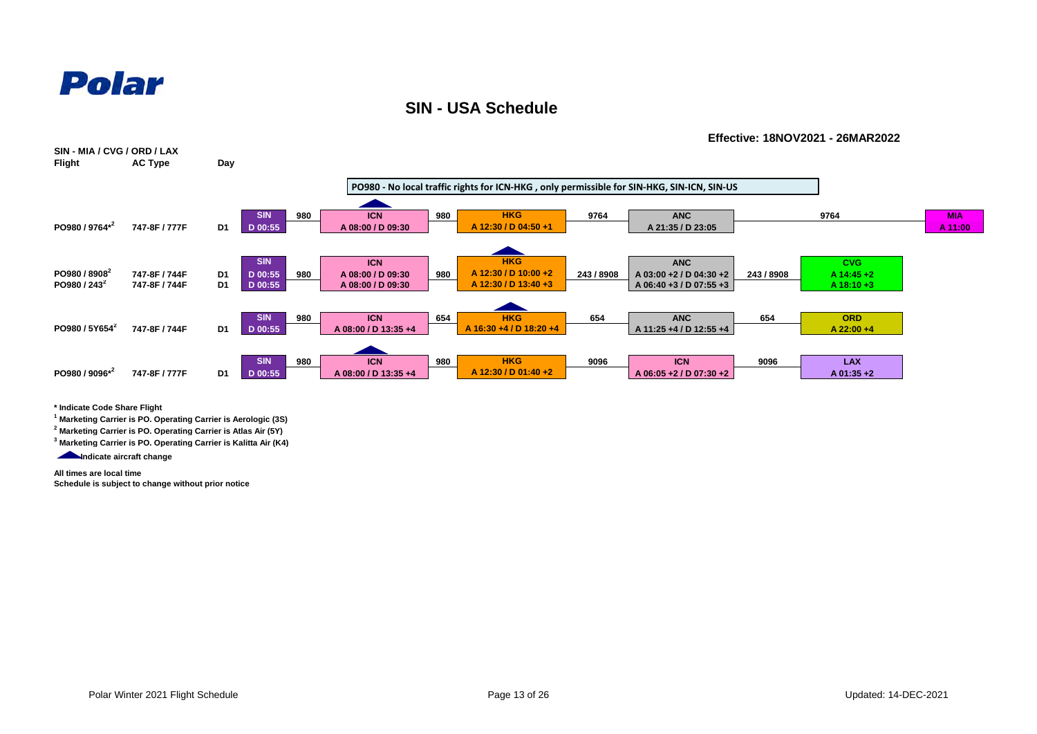

**SIN - USA Schedule**



**\* Indicate Code Share Flight**

**1 Marketing Carrier is PO. Operating Carrier is Aerologic (3S)**

**2 Marketing Carrier is PO. Operating Carrier is Atlas Air (5Y)**

**3 Marketing Carrier is PO. Operating Carrier is Kalitta Air (K4)**

Indicate aircraft change

**All times are local time**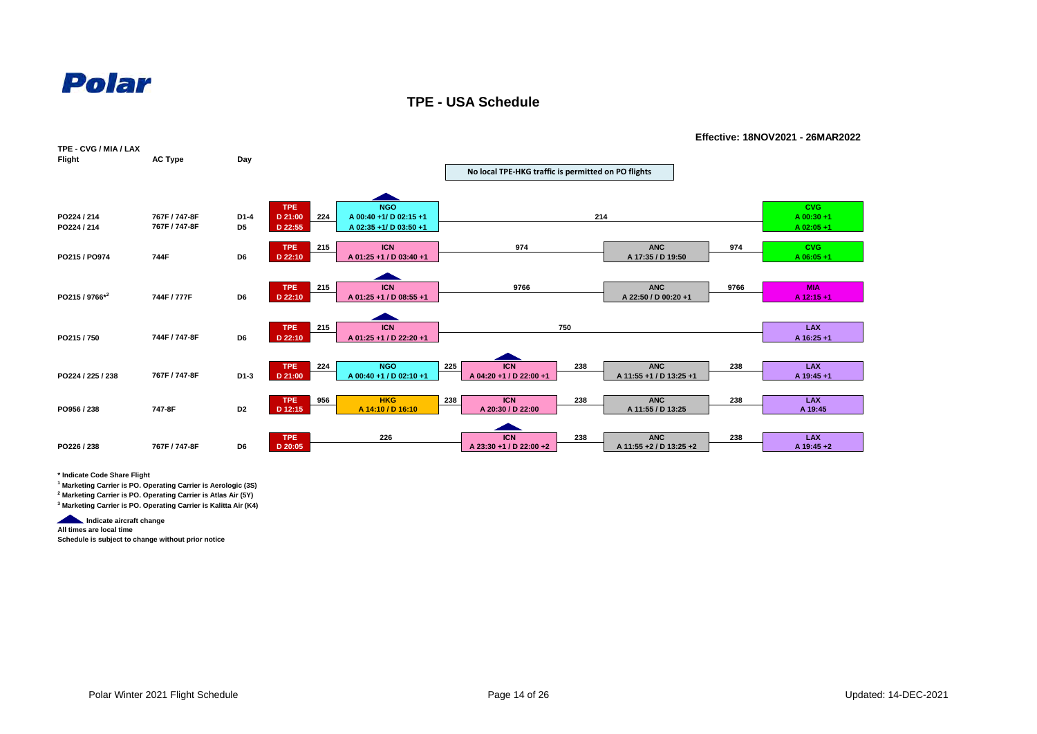

**TPE - USA Schedule**



**\* Indicate Code Share Flight**

**1 Marketing Carrier is PO. Operating Carrier is Aerologic (3S)**

**2 Marketing Carrier is PO. Operating Carrier is Atlas Air (5Y)**

**3 Marketing Carrier is PO. Operating Carrier is Kalitta Air (K4)**

**Indicate aircraft change** 

**All times are local time**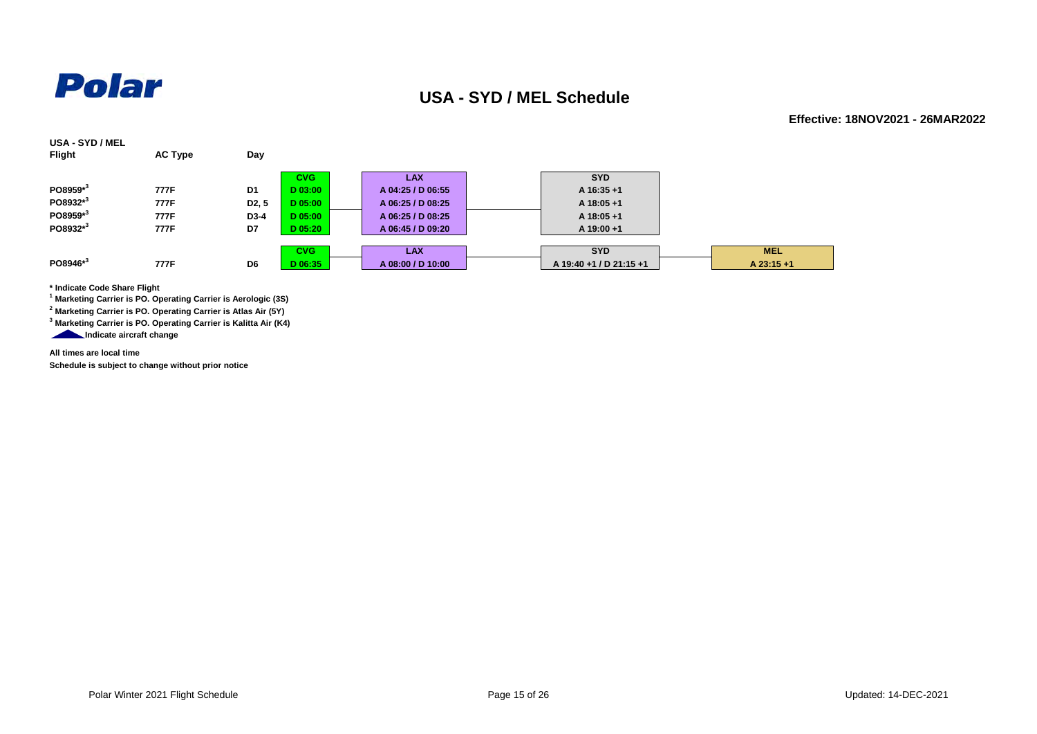

#### **USA - SYD / MEL Schedule**

**Effective: 18NOV2021 - 26MAR2022**

| USA - SYD / MEL<br><b>Flight</b> | <b>AC Type</b> | Day                |            |                   |                         |              |
|----------------------------------|----------------|--------------------|------------|-------------------|-------------------------|--------------|
|                                  |                |                    | <b>CVG</b> | <b>LAX</b>        | <b>SYD</b>              |              |
| PO8959*3                         | 777F           | D1                 | D 03:00    | A 04:25 / D 06:55 | A 16:35+1               |              |
| PO8932*3                         | 777F           | D <sub>2</sub> , 5 | D 05:00    | A 06:25 / D 08:25 | A 18:05+1               |              |
| PO8959 <sup>*3</sup>             | 777F           | D <sub>3</sub> -4  | D 05:00    | A 06:25 / D 08:25 | $A$ 18:05 +1            |              |
| PO8932 <sup>*3</sup>             | 777F           | D7                 | D 05:20    | A 06:45 / D 09:20 | $A$ 19:00 +1            |              |
|                                  |                |                    |            |                   |                         |              |
|                                  |                |                    | <b>CVG</b> | <b>LAX</b>        | <b>SYD</b>              | <b>MEL</b>   |
| $PO8946*^{3}$                    | 777F           | D <sub>6</sub>     | D 06:35    | A 08:00 / D 10:00 | A 19:40 +1 / D 21:15 +1 | $A$ 23:15 +1 |

**\* Indicate Code Share Flight**

**1 Marketing Carrier is PO. Operating Carrier is Aerologic (3S)**

**2 Marketing Carrier is PO. Operating Carrier is Atlas Air (5Y)**

**3 Marketing Carrier is PO. Operating Carrier is Kalitta Air (K4)**

**Indicate aircraft change** 

**All times are local time**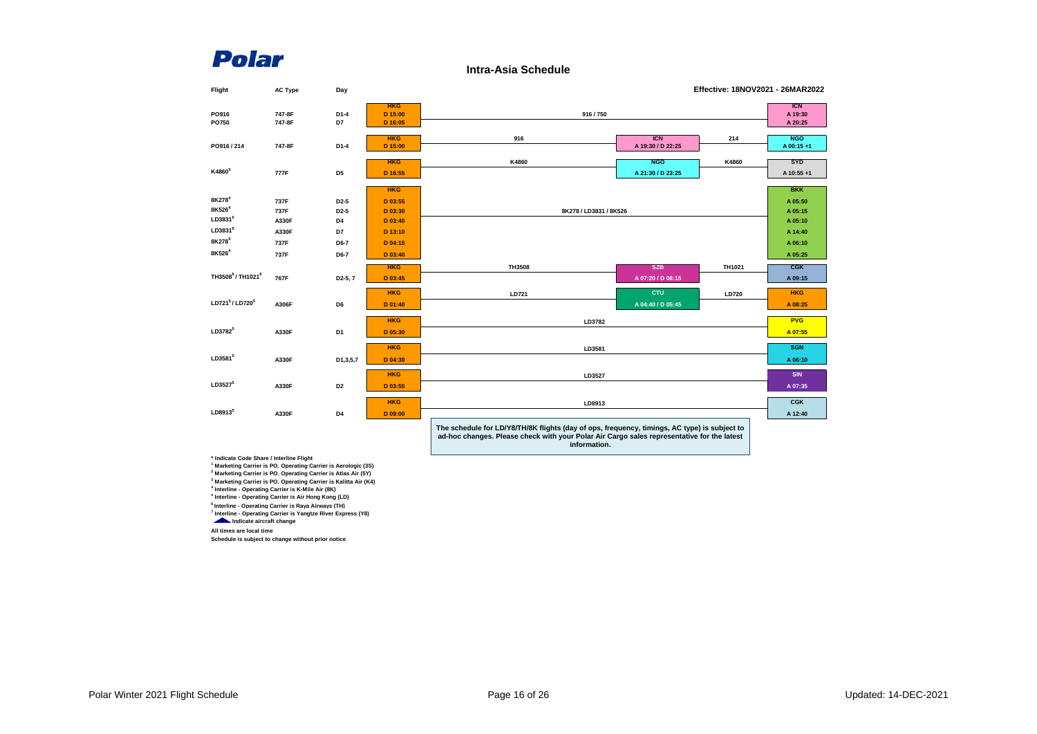**Intra-Asia Schedule**

| Flight                                   | <b>AC Type</b>   | Day                  |                                  |                                                  |                                 | Effective: 18NOV2021 - 26MAR2022 |                         |
|------------------------------------------|------------------|----------------------|----------------------------------|--------------------------------------------------|---------------------------------|----------------------------------|-------------------------|
| PO916<br>PO750                           | 747-8F<br>747-8F | D1-4<br>D7           | <b>HKG</b><br>D 15:00<br>D 16:05 | 916/750                                          |                                 | <b>ICN</b><br>A 19:30<br>A 20:25 |                         |
| PO916/214                                | 747-8F           | $D1-4$               | <b>HKG</b><br>D 15:00            | 916                                              | <b>ICN</b><br>A 19:30 / D 22:25 | 214                              | <b>NGO</b><br>A 00:15+1 |
| K4860 <sup>3</sup>                       | 777F             | D <sub>5</sub>       | <b>HKG</b><br>D 16:55            | K4860                                            | <b>NGO</b><br>A 21:30 / D 23:25 | K4860                            | <b>SYD</b><br>A 10:55+1 |
|                                          |                  |                      | <b>HKG</b>                       |                                                  |                                 |                                  | <b>BKK</b>              |
| 8K278 <sup>4</sup>                       | 737F             | D <sub>2</sub> -5    | D 03:55                          |                                                  |                                 |                                  | A 05:50                 |
| 8K526 <sup>4</sup>                       | 737F             | D <sub>2</sub> -5    | D 03:30                          | 8K278 / LD3831 / 8K526                           |                                 |                                  | A 05:15                 |
| LD3831 <sup>6</sup>                      | A330F            | D4                   | D 03:40                          |                                                  |                                 |                                  | A 05:10                 |
| LD3831 <sup>6</sup>                      | A330F            | D7                   | D 13:10                          |                                                  |                                 |                                  | A 14:40                 |
| 8K278 <sup>4</sup>                       | 737F             | D6-7                 | D 04:15                          |                                                  | A 06:10                         |                                  |                         |
| 8K526 <sup>4</sup>                       | 737F             | D6-7                 | D 03:40                          |                                                  | A 05:25                         |                                  |                         |
|                                          |                  |                      | <b>HKG</b>                       | TH3508                                           | <b>SZB</b>                      | TH1021                           | $C$ $GK$                |
| TH3508 <sup>6</sup> /TH1021 <sup>6</sup> | 767F             | D <sub>2</sub> -5, 7 | D 03:45                          |                                                  | A 07:20 / D 08:15               |                                  | A 09:15                 |
|                                          |                  |                      | <b>HKG</b>                       | LD721                                            | <b>CTU</b>                      | LD720                            | <b>HKG</b>              |
| LD721 <sup>5</sup> /LD720 <sup>5</sup>   | A306F            | D6                   | D 01:40                          |                                                  | A 04:40 / D 05:45               |                                  | A 08:25                 |
|                                          |                  |                      | <b>HKG</b>                       | LD3782                                           |                                 |                                  | <b>PVG</b>              |
| LD3782 <sup>5</sup>                      | A330F            | D <sub>1</sub>       | D 05:30                          |                                                  |                                 |                                  | A 07:55                 |
|                                          |                  |                      | <b>HKG</b>                       | LD3581                                           |                                 |                                  | <b>SGN</b>              |
| LD3581 <sup>5</sup>                      | A330F            | D1,3,5,7             | D 04:30                          |                                                  |                                 |                                  | A 06:10                 |
|                                          |                  |                      | <b>HKG</b>                       | LD3527                                           |                                 |                                  | <b>SIN</b>              |
| LD35275                                  | A330F            | D <sub>2</sub>       | D 03:55                          |                                                  |                                 |                                  | A 07:35                 |
|                                          |                  |                      | <b>HKG</b>                       | LD8913                                           |                                 |                                  | CGK                     |
| LD8913 <sup>5</sup>                      | A330F            | D4                   | D 09:00                          |                                                  |                                 |                                  | A 12:40                 |
|                                          |                  |                      |                                  | The section between the BAG PELICIA Chatter City |                                 |                                  |                         |

**The schedule for LD/Y8/TH/8K flights (day of ops, frequency, timings, AC type) is subject to ad-hoc changes. Please check with your Polar Air Cargo sales representative for the latest information.**

**\* Indicate Code Share / Interline Flight 1 Marketing Carrier is PO. Operating Carrier is Aerologic (3S)**

**2 Marketing Carrier is PO. Operating Carrier is Atlas Air (5Y) 3 Marketing Carrier is PO. Operating Carrier is Kalitta Air (K4)**

**4 Interline - Operating Carrier is K-Mile Air (8K)**

**5 Interline - Operating Carrier is Air Hong Kong (LD)**

**6 Interline - Operating Carrier is Raya Airways (TH)**

**7 Interline - Operating Carrier is Yangtze River Express (Y8) Indicate aircraft change** 

**All times are local time**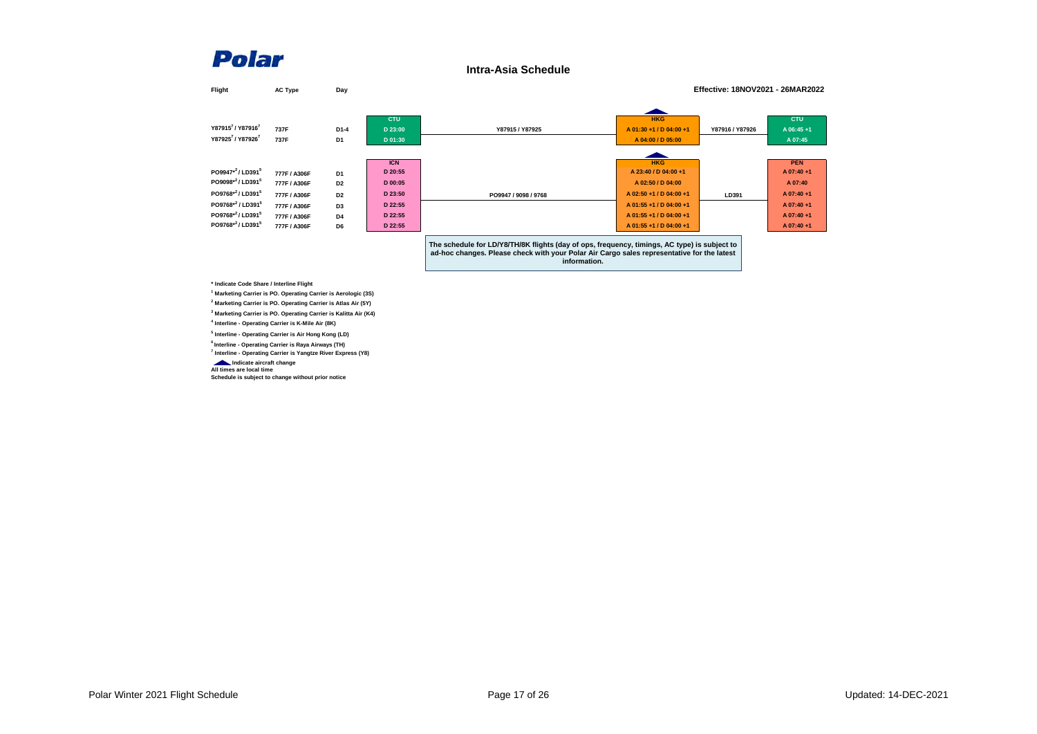**Intra-Asia Schedule**

| Flight                                   | <b>AC Type</b> | Day                      | Effective: 18NOV2021 - 26MAR2022 |                                                                                                                                                                                                            |                                                            |                 |                                    |  |
|------------------------------------------|----------------|--------------------------|----------------------------------|------------------------------------------------------------------------------------------------------------------------------------------------------------------------------------------------------------|------------------------------------------------------------|-----------------|------------------------------------|--|
| Y879157/Y879167<br>Y879257 / Y879267     | 737F<br>737F   | $D1-4$<br>D <sub>1</sub> | <b>CTU</b><br>D 23:00<br>D 01:30 | Y87915 / Y87925                                                                                                                                                                                            | <b>HKG</b><br>A 01:30 +1 / D 04:00 +1<br>A 04:00 / D 05:00 | Y87916 / Y87926 | <b>CTU</b><br>A 06:45+1<br>A 07:45 |  |
|                                          |                |                          |                                  |                                                                                                                                                                                                            |                                                            |                 |                                    |  |
|                                          |                |                          | <b>ICN</b>                       |                                                                                                                                                                                                            | <b>HKG</b>                                                 |                 | <b>PEN</b>                         |  |
| PO9947 <sup>*2</sup> /LD391 <sup>5</sup> | 777F / A306F   | D <sub>1</sub>           | D 20:55                          |                                                                                                                                                                                                            | A 23:40 / D 04:00 +1                                       |                 | A 07:40+1                          |  |
| PO9098*2/LD3915                          | 777F / A306F   | D <sub>2</sub>           | D 00:05                          |                                                                                                                                                                                                            | A 02:50 / D 04:00                                          |                 | A 07:40                            |  |
| PO9768*2/LD3915                          | 777F / A306F   | D <sub>2</sub>           | D 23:50                          | PO9947 / 9098 / 9768                                                                                                                                                                                       | A 02:50 +1 / D 04:00 +1                                    | LD391           | A 07:40+1                          |  |
| PO9768*2 / LD391 <sup>5</sup>            | 777F / A306F   | D <sub>3</sub>           | D 22:55                          |                                                                                                                                                                                                            | A 01:55 +1 / D 04:00 +1                                    |                 | A 07:40+1                          |  |
| PO9768*2/LD3915                          | 777F / A306F   | D <sub>4</sub>           | D 22:55                          |                                                                                                                                                                                                            | A 01:55 +1 / D 04:00 +1                                    |                 | A 07:40+1                          |  |
| PO9768*2/LD3915                          | 777F / A306F   | D6                       | D 22:55                          |                                                                                                                                                                                                            | A 01:55 +1 / D 04:00 +1                                    |                 | A 07:40+1                          |  |
|                                          |                |                          |                                  | The schedule for LD/Y8/TH/8K flights (day of ops, frequency, timings, AC type) is subject to<br>ad-hoc changes. Please check with your Polar Air Cargo sales representative for the latest<br>information. |                                                            |                 |                                    |  |

**\* Indicate Code Share / Interline Flight**

  **Marketing Carrier is PO. Operating Carrier is Aerologic (3S) Marketing Carrier is PO. Operating Carrier is Atlas Air (5Y) Marketing Carrier is PO. Operating Carrier is Kalitta Air (K4) Interline - Operating Carrier is K-Mile Air (8K)**

**5 Interline - Operating Carrier is Air Hong Kong (LD)**

**6 Interline - Operating Carrier is Raya Airways (TH)**

**7 Interline - Operating Carrier is Yangtze River Express (Y8)**

 **Indicate aircraft change All times are local time**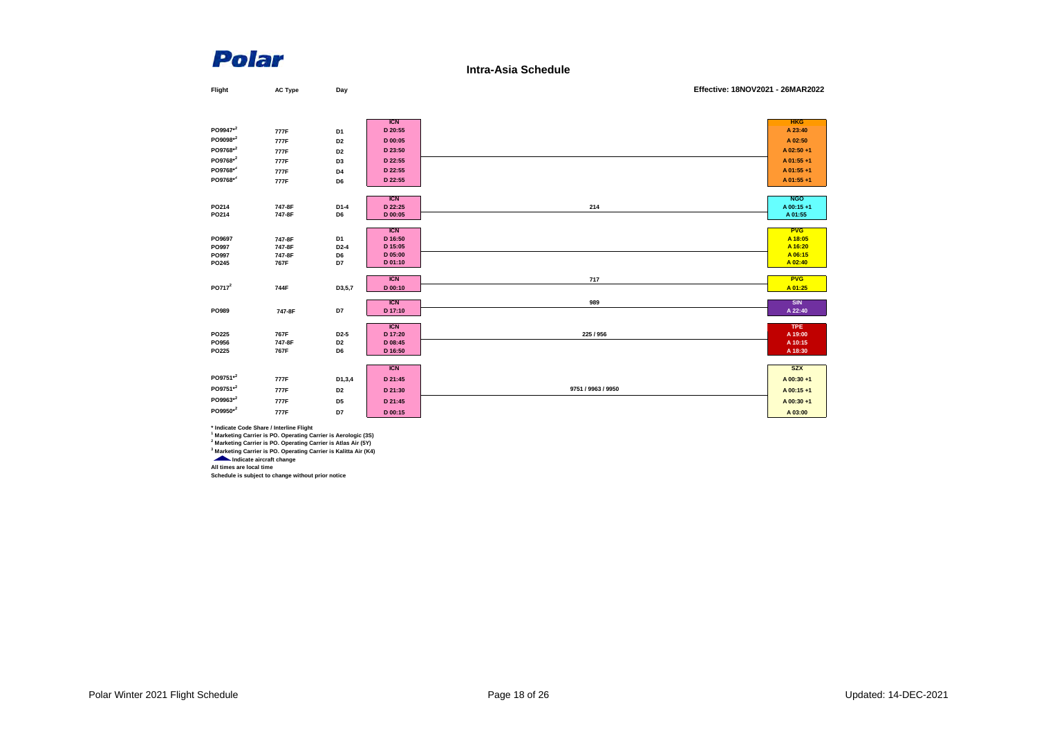**Intra-Asia Schedule**

| Flight             | <b>AC Type</b> | Day               |                       | Effective: 18NOV2021 - 26MAR2022 |                       |
|--------------------|----------------|-------------------|-----------------------|----------------------------------|-----------------------|
|                    |                |                   |                       |                                  |                       |
|                    |                |                   |                       |                                  |                       |
| PO9947*2           |                |                   | <b>ICN</b>            |                                  | <b>HKG</b>            |
| PO9098*2           | 777F           | D <sub>1</sub>    | D 20:55               |                                  | A 23:40               |
|                    | 777F           | D <sub>2</sub>    | D 00:05               |                                  | A 02:50               |
| PO9768*2           | 777F           | D <sub>2</sub>    | D 23:50               |                                  | A 02:50 +1            |
| PO9768*2           | 777F           | D <sub>3</sub>    | D 22:55               |                                  | A 01:55+1             |
| PO9768*2           | 777F           | D4                | D 22:55               |                                  | A 01:55+1             |
| PO9768*2           | 777F           | D6                | D 22:55               |                                  | A 01:55+1             |
|                    |                |                   |                       |                                  |                       |
|                    |                |                   | <b>ICN</b>            |                                  | <b>NGO</b>            |
| PO214              | 747-8F         | $D1-4$            | D 22:25               | 214                              | A 00:15+1             |
| PO214              | 747-8F         | D6                | D 00:05               |                                  | A 01:55               |
|                    |                |                   | <b>ICN</b>            |                                  | <b>PVG</b>            |
| PO9697             | 747-8F         | D <sub>1</sub>    | D 16:50               |                                  | A 18:05               |
| PO997              | 747-8F         | $D2-4$            | D 15:05               |                                  | A 16:20               |
| PO997              | 747-8F         | D6                | D 05:00               |                                  | A 06:15               |
| PO245              | 767F           | D7                | D 01:10               |                                  | A 02:40               |
|                    |                |                   | <b>ICN</b>            | 717                              | <b>PVG</b>            |
| PO717 <sup>2</sup> | 744F           | D3,5,7            | D 00:10               |                                  | A 01:25               |
|                    |                |                   |                       |                                  |                       |
| PO989              |                | D7                | <b>ICN</b><br>D 17:10 | 989                              | <b>SIN</b><br>A 22:40 |
|                    | 747-8F         |                   |                       |                                  |                       |
|                    |                |                   | <b>ICN</b>            |                                  | <b>TPE</b>            |
| PO225              | 767F           | D <sub>2</sub> -5 | D 17:20               | 225 / 956                        | A 19:00               |
| PO956              | 747-8F         | D <sub>2</sub>    | D 08:45               |                                  | A 10:15               |
| PO225              | 767F           | D6                | D 16:50               |                                  | A 18:30               |
|                    |                |                   |                       |                                  | <b>SZX</b>            |
|                    |                |                   | <b>ICN</b>            |                                  |                       |
| PO9751*2           | 777F           | D1,3,4            | D 21:45               |                                  | A 00:30+1             |
| PO9751*2           | 777F           | D <sub>2</sub>    | D 21:30               | 9751 / 9963 / 9950               | A 00:15+1             |
| PO9963*2           | 777F           | D <sub>5</sub>    | D 21:45               |                                  | A 00:30+1             |
| PO9950*2           | 777F           | D7                | D 00:15               |                                  | A 03:00               |

\* Indicate Code Share / Interline Flight<br>A Marketing Carrier is PO. Operating Carrier is Aerologic (3S)<br><sup>2</sup> Marketing Carrier is PO. Operating Carrier is Atlas Air (5Y)<br><sup>3</sup> Marketing Carrier is PO. Operating Carrier is Kal

**All times are local time**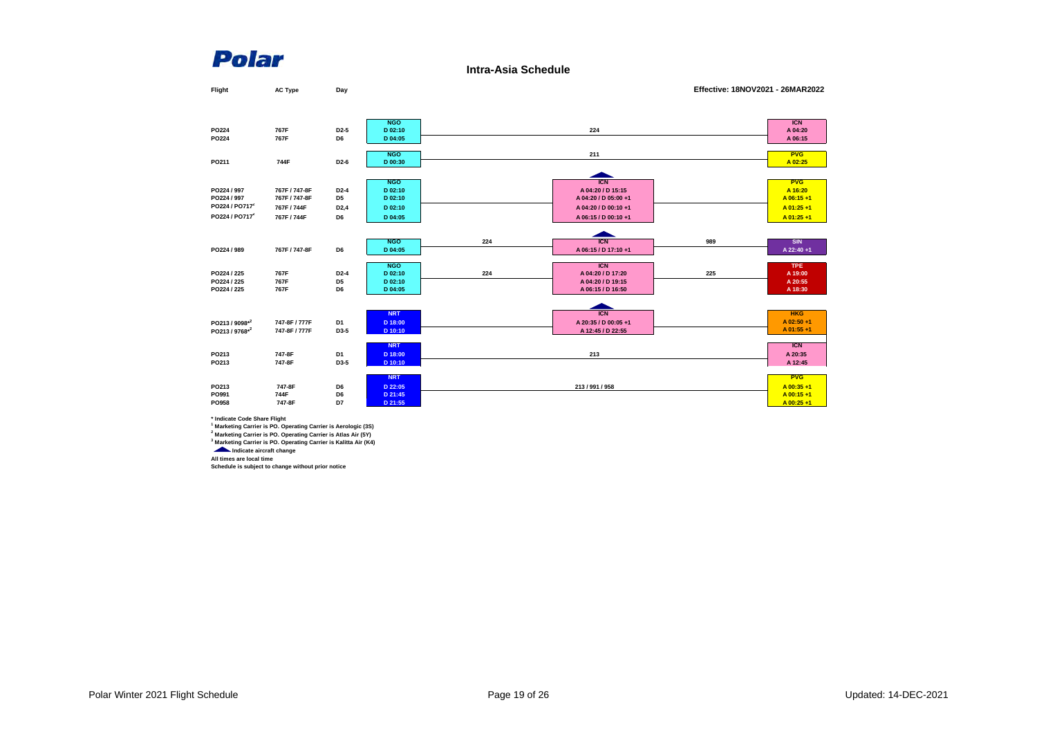**Intra-Asia Schedule**

| Flight                     | <b>AC Type</b> | Day               |            |     |                      | Effective: 18NOV2021 - 26MAR2022 |             |
|----------------------------|----------------|-------------------|------------|-----|----------------------|----------------------------------|-------------|
|                            |                |                   |            |     |                      |                                  |             |
|                            |                |                   |            |     |                      |                                  |             |
|                            |                |                   | <b>NGO</b> |     |                      |                                  | <b>ICN</b>  |
| PO224                      | 767F           | D <sub>2</sub> -5 | D 02:10    |     | 224                  |                                  | A 04:20     |
| PO224                      | 767F           | D6                | D 04:05    |     |                      |                                  | A 06:15     |
|                            |                |                   | <b>NGO</b> |     | 211                  |                                  | <b>PVG</b>  |
| PO211                      | 744F           | D <sub>2</sub> -6 | D 00:30    |     |                      |                                  | A 02:25     |
|                            |                |                   |            |     |                      |                                  |             |
|                            |                |                   | <b>NGO</b> |     | <b>ICN</b>           |                                  | <b>PVG</b>  |
| PO224 / 997                | 767F / 747-8F  | D <sub>2</sub> -4 | D 02:10    |     | A 04:20 / D 15:15    |                                  | A 16:20     |
| PO224 / 997                | 767F / 747-8F  | D <sub>5</sub>    | D 02:10    |     | A 04:20 / D 05:00 +1 |                                  | A 06:15+1   |
| PO224 / PO717 <sup>2</sup> | 767F / 744F    | D <sub>2</sub> ,4 | D 02:10    |     | A 04:20 / D 00:10 +1 |                                  | A 01:25+1   |
| PO224 / PO717 <sup>2</sup> | 767F/744F      | D6                | D 04:05    |     | A 06:15 / D 00:10 +1 |                                  | A 01:25+1   |
|                            |                |                   |            |     |                      |                                  |             |
|                            |                |                   | <b>NGO</b> | 224 | <b>ICN</b>           | 989                              | <b>SIN</b>  |
| PO224 / 989                | 767F / 747-8F  | D6                | D 04:05    |     | A 06:15 / D 17:10 +1 |                                  | A 22:40 +1  |
|                            |                |                   |            |     |                      |                                  |             |
|                            |                |                   | <b>NGO</b> |     | <b>ICN</b>           |                                  | <b>TPE</b>  |
| PO224 / 225                | 767F           | $D2-4$            | D 02:10    | 224 | A 04:20 / D 17:20    | 225                              | A 19:00     |
| PO224 / 225                | 767F           | D <sub>5</sub>    | D 02:10    |     | A 04:20 / D 19:15    |                                  | A 20:55     |
| PO224 / 225                | 767F           | D6                | D 04:05    |     | A 06:15 / D 16:50    |                                  | A 18:30     |
|                            |                |                   |            |     |                      |                                  |             |
|                            |                |                   | <b>NRT</b> |     | <b>ICN</b>           |                                  | <b>HKG</b>  |
| PO213 / 9098*2             | 747-8F / 777F  | D <sub>1</sub>    | D 18:00    |     | A 20:35 / D 00:05 +1 |                                  | A 02:50 +1  |
| PO213 / 9768*2             | 747-8F / 777F  | D3-5              | D 10:10    |     | A 12:45 / D 22:55    |                                  | A 01:55+1   |
|                            |                |                   | <b>NRT</b> |     |                      |                                  | <b>ICN</b>  |
| PO213                      | 747-8F         | D1                | D 18:00    |     | 213                  |                                  | A 20:35     |
| PO213                      | 747-8F         | D3-5              | D 10:10    |     |                      |                                  | A 12:45     |
|                            |                |                   | <b>NRT</b> |     |                      |                                  | <b>PVG</b>  |
| PO213                      | 747-8F         | D6                | D 22:05    |     | 213 / 991 / 958      |                                  | A 00:35+1   |
| PO991                      | 744F           | D6                | D 21:45    |     |                      |                                  | $A$ 00:15+1 |
| PO958                      | 747-8F         | D7                | D 21:55    |     |                      |                                  | A 00:25+1   |
|                            |                |                   |            |     |                      |                                  |             |

**\* Indicate Code Share Flight**

Marketing Carrier is PO. Operating Carrier is Aerologic (3S)<br><sup>2</sup> Marketing Carrier is PO. Operating Carrier is Atlas Air (5Y)<br><sup>3</sup> Marketing Carrier is PO. Operating Carrier is Kalitta Air (K4)<br>**Ally Indicate aircraft chang** 

**All times are local time Schedule is subject to change without prior notice**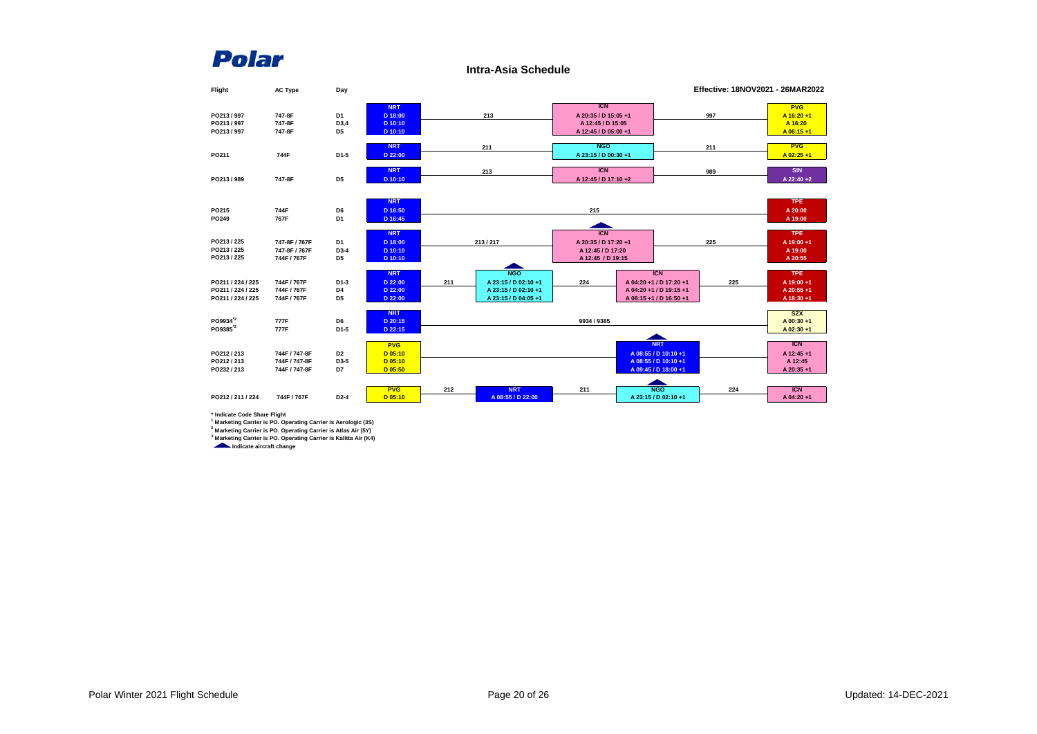**Intra-Asia Schedule**



**\* Indicate Code Share Flight 1 Marketing Carrier is PO. Operating Carrier is Aerologic (3S)**

**2 Marketing Carrier is PO. Operating Carrier is Atlas Air (5Y)**

**3 Marketing Carrier is PO. Operating Carrier is Kalitta Air (K4)**

*<u>Indicate aircraft change</u>*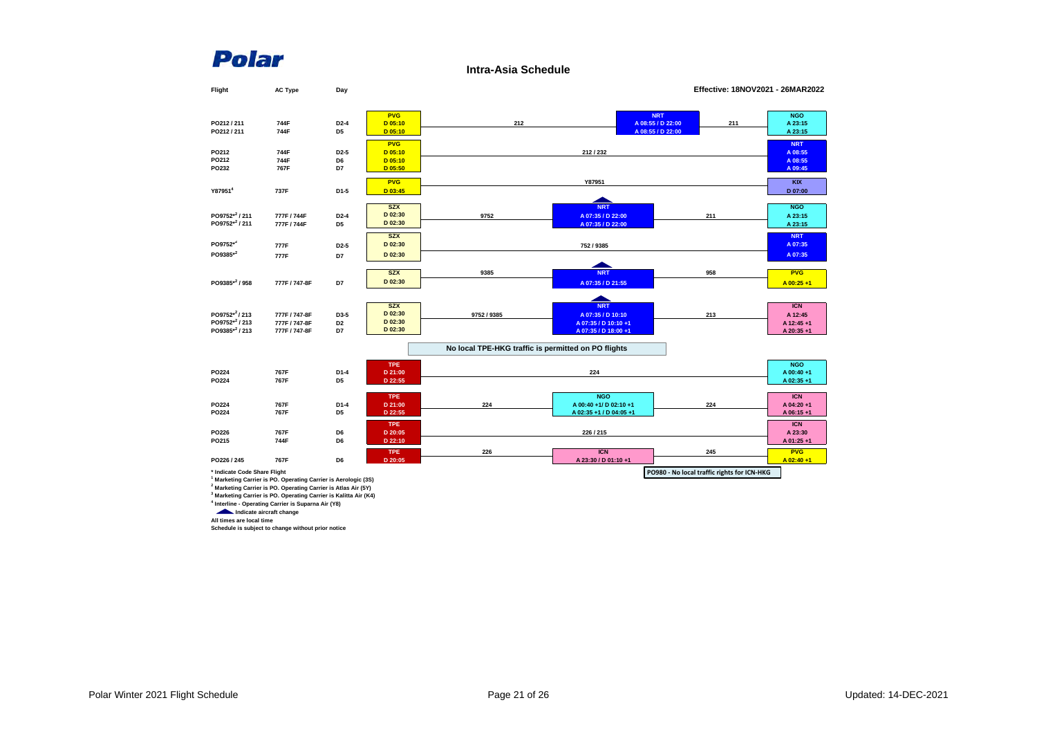**Intra-Asia Schedule**

| Flight                       | <b>AC Type</b>                                                                                                                                           | Day               |                    |                                                     |                         |                                             | Effective: 18NOV2021 - 26MAR2022 |
|------------------------------|----------------------------------------------------------------------------------------------------------------------------------------------------------|-------------------|--------------------|-----------------------------------------------------|-------------------------|---------------------------------------------|----------------------------------|
|                              |                                                                                                                                                          |                   |                    |                                                     |                         |                                             |                                  |
|                              |                                                                                                                                                          |                   | <b>PVG</b>         |                                                     |                         | <b>NRT</b>                                  | <b>NGO</b>                       |
| PO212/211                    | 744F                                                                                                                                                     | D <sub>2</sub> -4 | $D$ 05:10          | 212                                                 |                         | A 08:55 / D 22:00<br>211                    | A 23:15                          |
| PO212/211                    | 744F                                                                                                                                                     | D5                | $D$ 05:10          |                                                     |                         | A 08:55 / D 22:00                           | A 23:15                          |
|                              |                                                                                                                                                          |                   | <b>PVG</b>         |                                                     |                         |                                             | <b>NRT</b>                       |
| PO212                        | 744F                                                                                                                                                     | D <sub>2</sub> -5 | $D$ 05:10          |                                                     | 212/232                 |                                             | A 08:55                          |
| PO212                        | 744F                                                                                                                                                     | D6                | $D$ 05:10          |                                                     |                         |                                             | A 08:55                          |
| PO232                        | 767F                                                                                                                                                     | D7                | D 05:50            |                                                     |                         |                                             | A 09:45                          |
|                              |                                                                                                                                                          |                   | <b>PVG</b>         |                                                     | Y87951                  |                                             | <b>KIX</b>                       |
| Y87951 <sup>4</sup>          | 737F                                                                                                                                                     | D1-5              | D 03:45            |                                                     |                         |                                             | D 07:00                          |
|                              |                                                                                                                                                          |                   |                    |                                                     |                         |                                             |                                  |
|                              |                                                                                                                                                          |                   | <b>SZX</b>         |                                                     | <b>NRT</b>              |                                             | <b>NGO</b>                       |
| PO9752 <sup>*2</sup> /211    | 777F / 744F                                                                                                                                              | $D2-4$            | D 02:30            | 9752                                                | A 07:35 / D 22:00       | 211                                         | A 23:15                          |
| PO9752 <sup>*2</sup> /211    | 777F / 744F                                                                                                                                              | D <sub>5</sub>    | D 02:30            |                                                     | A 07:35 / D 22:00       |                                             | A 23:15                          |
|                              |                                                                                                                                                          |                   | <b>SZX</b>         |                                                     |                         |                                             | <b>NRT</b>                       |
| PO9752*2                     | 777F                                                                                                                                                     | D <sub>2</sub> -5 | D 02:30            |                                                     | 752 / 9385              |                                             | A 07:35                          |
| PO9385*2                     | 777F                                                                                                                                                     | D7                | D 02:30            |                                                     |                         |                                             | A 07:35                          |
|                              |                                                                                                                                                          |                   |                    |                                                     |                         |                                             |                                  |
|                              |                                                                                                                                                          |                   | <b>SZX</b>         | 9385                                                | <b>NRT</b>              | 958                                         | <b>PVG</b>                       |
| PO9385*2 / 958               | 777F / 747-8F                                                                                                                                            | D7                | D 02:30            |                                                     | A 07:35 / D 21:55       |                                             | $A$ 00:25 +1                     |
|                              |                                                                                                                                                          |                   |                    |                                                     |                         |                                             |                                  |
|                              |                                                                                                                                                          |                   | <b>SZX</b>         |                                                     | <b>NRT</b>              |                                             | <b>ICN</b>                       |
| PO9752*2/213                 | 777F / 747-8F                                                                                                                                            | D3-5              | D 02:30            | 9752 / 9385                                         | A 07:35 / D 10:10       | 213                                         | A 12:45                          |
| PO9752*2 / 213               | 777F / 747-8F                                                                                                                                            | D <sub>2</sub>    | D 02:30            |                                                     | A 07:35 / D 10:10 +1    |                                             | A 12:45+1                        |
| PO9385*2 / 213               | 777F / 747-8F                                                                                                                                            | D7                | D 02:30            |                                                     | A 07:35 / D 18:00 +1    |                                             | A 20:35+1                        |
|                              |                                                                                                                                                          |                   |                    |                                                     |                         |                                             |                                  |
|                              |                                                                                                                                                          |                   |                    | No local TPE-HKG traffic is permitted on PO flights |                         |                                             |                                  |
|                              |                                                                                                                                                          |                   | <b>TPE</b>         |                                                     |                         |                                             | <b>NGO</b>                       |
| PO224                        | 767F                                                                                                                                                     | D1-4              | D 21:00            |                                                     | 224                     |                                             | A 00:40+1                        |
| PO224                        | 767F                                                                                                                                                     | D <sub>5</sub>    | D 22:55            |                                                     |                         |                                             | A 02:35+1                        |
|                              |                                                                                                                                                          |                   |                    |                                                     |                         |                                             |                                  |
|                              |                                                                                                                                                          |                   | <b>TPE</b>         |                                                     | <b>NGO</b>              |                                             | <b>ICN</b>                       |
| PO224                        | 767F                                                                                                                                                     | $D1-4$            | D 21:00            | 224                                                 | A 00:40 +1/ D 02:10 +1  | 224                                         | A 04:20+1                        |
| PO224                        | 767F                                                                                                                                                     | D <sub>5</sub>    | D 22:55            |                                                     | A 02:35 +1 / D 04:05 +1 |                                             | A 06:15+1                        |
|                              |                                                                                                                                                          |                   | TPE                |                                                     |                         |                                             | <b>ICN</b>                       |
| PO226<br>PO215               | 767F<br>744F                                                                                                                                             | D6<br>D6          | D 20:05<br>D 22:10 |                                                     | 226/215                 |                                             | A 23:30                          |
|                              |                                                                                                                                                          |                   |                    |                                                     |                         |                                             | A 01:25+1                        |
|                              |                                                                                                                                                          |                   | <b>TPE</b>         | 226                                                 | <b>ICN</b>              | 245                                         | <b>PVG</b>                       |
| PO226 / 245                  | 767F                                                                                                                                                     | D6                | D 20:05            |                                                     | A 23:30 / D 01:10 +1    |                                             | A 02:40+1                        |
| * Indicate Code Share Flight |                                                                                                                                                          |                   |                    |                                                     |                         | PO980 - No local traffic rights for ICN-HKG |                                  |
|                              | <sup>1</sup> Marketing Carrier is PO. Operating Carrier is Aerologic (3S)                                                                                |                   |                    |                                                     |                         |                                             |                                  |
|                              | <sup>2</sup> Marketing Carrier is PO. Operating Carrier is Atlas Air (5Y)<br><sup>3</sup> Marketing Carrier is PO. Operating Carrier is Kalitta Air (K4) |                   |                    |                                                     |                         |                                             |                                  |
|                              | <sup>4</sup> Interline - Operating Carrier is Suparna Air (Y8)                                                                                           |                   |                    |                                                     |                         |                                             |                                  |

 **Indicate aircraft change All times are local time**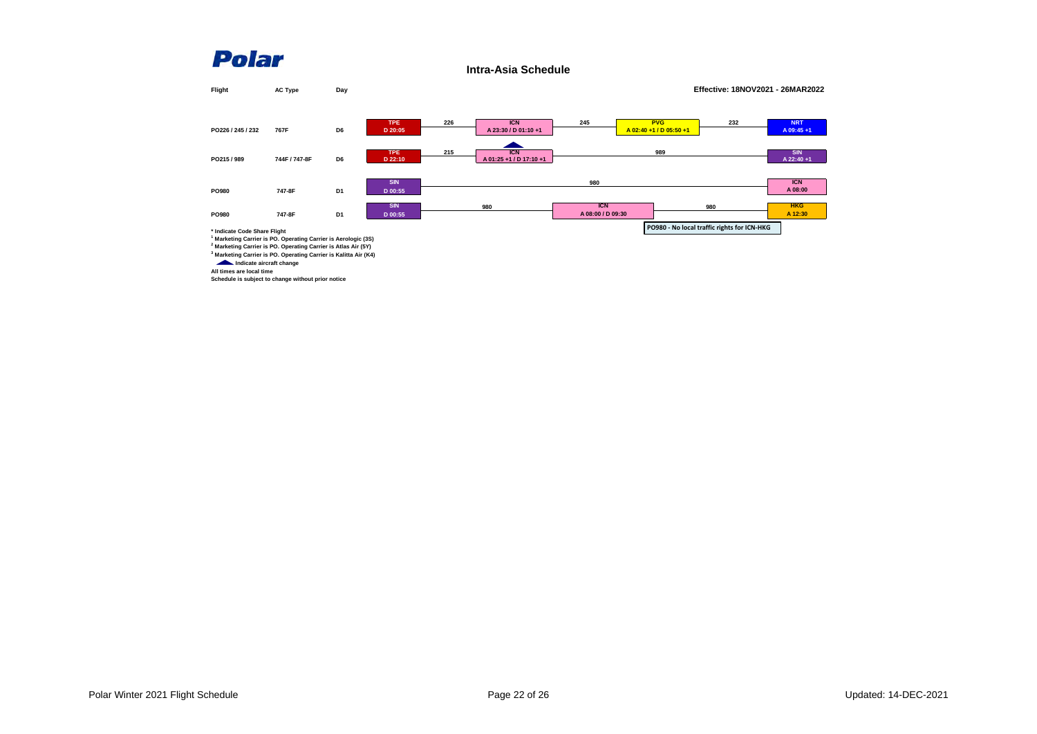**Intra-Asia Schedule**

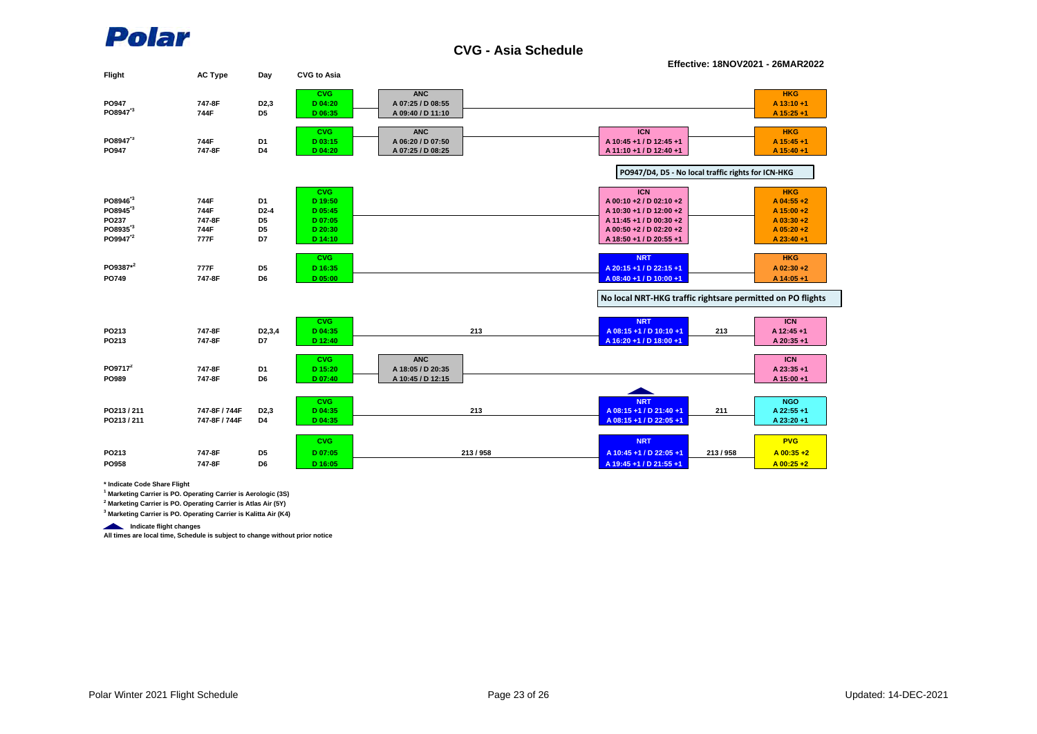

**CVG - Asia Schedule**

**Effective: 18NOV2021 - 26MAR2022**

| Flight               | <b>AC Type</b> | Day                 | <b>CVG to Asia</b>    |                                 |                                                            |                         |
|----------------------|----------------|---------------------|-----------------------|---------------------------------|------------------------------------------------------------|-------------------------|
| PO947                | 747-8F         | D <sub>2</sub> ,3   | <b>CVG</b><br>D 04:20 | <b>ANC</b><br>A 07:25 / D 08:55 |                                                            | <b>HKG</b><br>A 13:10+1 |
| PO8947 <sup>3</sup>  | 744F           | D <sub>5</sub>      | D 06:35               | A 09:40 / D 11:10               |                                                            | A 15:25 +1              |
|                      |                |                     | <b>CVG</b>            | <b>ANC</b>                      | <b>ICN</b>                                                 | <b>HKG</b>              |
| PO8947 <sup>*3</sup> | 744F           | D <sub>1</sub>      | D 03:15               | A 06:20 / D 07:50               | A 10:45 +1 / D 12:45 +1                                    | A 15:45 +1              |
| PO947                | 747-8F         | D4                  | D 04:20               | A 07:25 / D 08:25               | A 11:10 +1 / D 12:40 +1                                    | A 15:40 +1              |
|                      |                |                     |                       |                                 |                                                            |                         |
|                      |                |                     |                       |                                 | PO947/D4, D5 - No local traffic rights for ICN-HKG         |                         |
|                      |                |                     | <b>CVG</b>            |                                 | <b>ICN</b>                                                 | <b>HKG</b>              |
| PO8946 <sup>3</sup>  | 744F           | D <sub>1</sub>      | D 19:50               |                                 | A 00:10 +2 / D 02:10 +2                                    | A 04:55 +2              |
| PO8945 <sup>*3</sup> | 744F           | $D2-4$              | D 05:45               |                                 | A 10:30 +1 / D 12:00 +2                                    | A 15:00 +2              |
| PO237                | 747-8F         | D <sub>5</sub>      | D 07:05               |                                 | A 11:45 +1 / D 00:30 +2                                    | $A$ 03:30 +2            |
| PO8935 <sup>*3</sup> | 744F           | D <sub>5</sub>      | D 20:30               |                                 | A 00:50 +2 / D 02:20 +2                                    | $A$ 05:20 +2            |
| PO9947 <sup>2</sup>  | 777F           | D7                  | D 14:10               |                                 | A 18:50 +1 / D 20:55 +1                                    | A 23:40 +1              |
|                      |                |                     | <b>CVG</b>            |                                 | <b>NRT</b>                                                 | <b>HKG</b>              |
| PO9387*2             | 777F           | D <sub>5</sub>      | D 16:35               |                                 | A 20:15 +1 / D 22:15 +1                                    | A 02:30 +2              |
| PO749                | 747-8F         | D <sub>6</sub>      | D 05:00               |                                 | A 08:40 +1 / D 10:00 +1                                    | A 14:05 +1              |
|                      |                |                     |                       |                                 | No local NRT-HKG traffic rightsare permitted on PO flights |                         |
|                      |                |                     |                       |                                 |                                                            |                         |
|                      |                |                     | <b>CVG</b>            |                                 | <b>NRT</b>                                                 | <b>ICN</b>              |
| PO213                | 747-8F         | D <sub>2</sub> ,3,4 | D 04:35               | 213                             | A 08:15 +1 / D 10:10 +1<br>213                             | A 12:45 +1              |
| PO213                | 747-8F         | D7                  | D 12:40               |                                 | A 16:20 +1 / D 18:00 +1                                    | A 20:35 +1              |
|                      |                |                     | <b>CVG</b>            | <b>ANC</b>                      |                                                            | <b>ICN</b>              |
| PO9717 <sup>2</sup>  | 747-8F         | D <sub>1</sub>      | D 15:20               | A 18:05 / D 20:35               |                                                            | A 23:35 +1              |
| PO989                | 747-8F         | D <sub>6</sub>      | D 07:40               | A 10:45 / D 12:15               |                                                            | A 15:00 +1              |
|                      |                |                     |                       |                                 |                                                            |                         |
|                      |                |                     | <b>CVG</b>            |                                 | <b>NRT</b>                                                 | <b>NGO</b>              |
| PO213 / 211          | 747-8F / 744F  | D <sub>2</sub> ,3   | D 04:35               | 213                             | A 08:15 +1 / D 21:40 +1<br>211                             | A 22:55 +1              |
| PO213/211            | 747-8F / 744F  | D4                  | D 04:35               |                                 | A 08:15 +1 / D 22:05 +1                                    | A 23:20 +1              |
|                      |                |                     | <b>CVG</b>            |                                 | <b>NRT</b>                                                 | <b>PVG</b>              |
| PO213                | 747-8F         | D <sub>5</sub>      | D 07:05               | 213/958                         | 213/958<br>A 10:45 +1 / D 22:05 +1                         | $A$ 00:35 +2            |
| PO958                | 747-8F         | D6                  | D 16:05               |                                 | A 19:45 +1 / D 21:55 +1                                    | $A$ 00:25 +2            |
|                      |                |                     |                       |                                 |                                                            |                         |

**\* Indicate Code Share Flight**

**1 Marketing Carrier is PO. Operating Carrier is Aerologic (3S)**

**2 Marketing Carrier is PO. Operating Carrier is Atlas Air (5Y)**

**3 Marketing Carrier is PO. Operating Carrier is Kalitta Air (K4)**

**Indicate flight changes** 

**All times are local time, Schedule is subject to change without prior notice**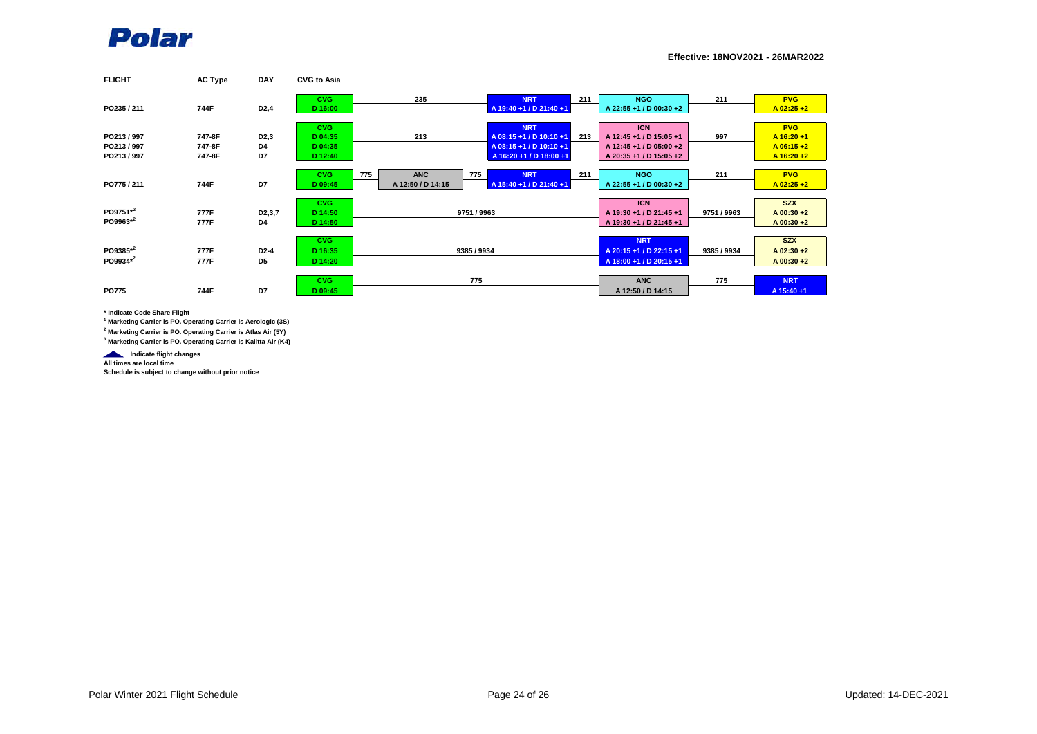

**Effective: 18NOV2021 - 26MAR2022**

| <b>FLIGHT</b> | <b>AC Type</b> | <b>DAY</b>          | <b>CVG to Asia</b> |                   |                         |     |                         |             |               |
|---------------|----------------|---------------------|--------------------|-------------------|-------------------------|-----|-------------------------|-------------|---------------|
|               |                |                     | <b>CVG</b>         | 235               | <b>NRT</b>              | 211 | <b>NGO</b>              | 211         | <b>PVG</b>    |
| PO235 / 211   | 744F           | D <sub>2</sub> ,4   | D 16:00            |                   | A 19:40 +1 / D 21:40 +1 |     | A 22:55 +1 / D 00:30 +2 |             | $A$ 02:25 +2  |
|               |                |                     | <b>CVG</b>         |                   | <b>NRT</b>              |     | <b>ICN</b>              |             | <b>PVG</b>    |
| PO213/997     | 747-8F         | D <sub>2</sub> ,3   | D 04:35            | 213               | A 08:15 +1 / D 10:10 +1 | 213 | A 12:45 +1 / D 15:05 +1 | 997         | A 16:20 +1    |
| PO213/997     | 747-8F         | D4                  | D 04:35            |                   | A 08:15 +1 / D 10:10 +1 |     | A 12:45 +1 / D 05:00 +2 |             | $A$ 06:15+2   |
| PO213/997     | 747-8F         | D7                  | D 12:40            |                   | A 16:20 +1 / D 18:00 +1 |     | A 20:35 +1 / D 15:05 +2 |             | $A 16:20 + 2$ |
|               |                |                     |                    |                   |                         |     |                         |             |               |
|               |                |                     | <b>CVG</b>         | <b>ANC</b><br>775 | <b>NRT</b><br>775       | 211 | <b>NGO</b>              | 211         | <b>PVG</b>    |
| PO775/211     | 744F           | D7                  | D 09:45            | A 12:50 / D 14:15 | A 15:40 +1 / D 21:40 +1 |     | A 22:55 +1 / D 00:30 +2 |             | $A$ 02:25 +2  |
|               |                |                     |                    |                   |                         |     |                         |             |               |
|               |                |                     | <b>CVG</b>         |                   |                         |     | <b>ICN</b>              |             | <b>SZX</b>    |
| PO9751*2      | 777F           | D <sub>2</sub> ,3,7 | D 14:50            |                   | 9751 / 9963             |     | A 19:30 +1 / D 21:45 +1 | 9751 / 9963 | $A$ 00:30 +2  |
| PO9963*2      | 777F           | D4                  | D 14:50            |                   |                         |     | A 19:30 +1 / D 21:45 +1 |             | A 00:30 +2    |
|               |                |                     |                    |                   |                         |     |                         |             |               |
|               |                |                     | <b>CVG</b>         |                   |                         |     | <b>NRT</b>              |             | <b>SZX</b>    |
| PO9385*2      | 777F           | D2-4                | D 16:35            |                   | 9385 / 9934             |     | A 20:15 +1 / D 22:15 +1 | 9385 / 9934 | $A$ 02:30 +2  |
| PO9934*2      | 777F           | D <sub>5</sub>      | D 14:20            |                   |                         |     | A 18:00 +1 / D 20:15 +1 |             | A 00:30 +2    |
|               |                |                     |                    |                   |                         |     |                         |             |               |
|               |                |                     | <b>CVG</b>         |                   | 775                     |     | <b>ANC</b>              | 775         | <b>NRT</b>    |
| <b>PO775</b>  | 744F           | D7                  | D 09:45            |                   |                         |     | A 12:50 / D 14:15       |             | A 15:40 +1    |

**\* Indicate Code Share Flight**

**1 Marketing Carrier is PO. Operating Carrier is Aerologic (3S)**

**2 Marketing Carrier is PO. Operating Carrier is Atlas Air (5Y)**

**3 Marketing Carrier is PO. Operating Carrier is Kalitta Air (K4)**

**Indicate flight changes** 

**All times are local time**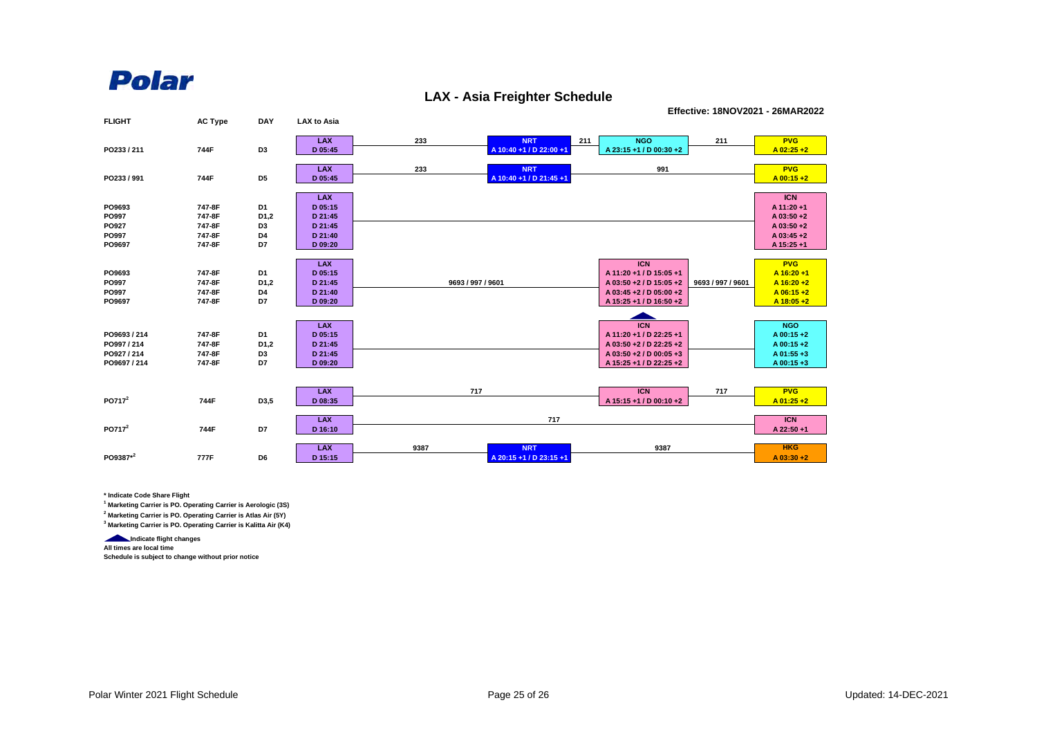#### **LAX - Asia Freighter Schedule**

**Effective: 18NOV2021 - 26MAR2022**

| <b>FLIGHT</b>      | <b>AC Type</b> | <b>DAY</b>        | <b>LAX to Asia</b>    |                   |                                       |     |                         |                   |                           |
|--------------------|----------------|-------------------|-----------------------|-------------------|---------------------------------------|-----|-------------------------|-------------------|---------------------------|
|                    |                |                   | <b>LAX</b>            | 233               | <b>NRT</b>                            | 211 | <b>NGO</b>              | 211               | <b>PVG</b>                |
| PO233 / 211        | 744F           | D <sub>3</sub>    | D 05:45               |                   | A 10:40 +1 / D 22:00 +1               |     | A 23:15 +1 / D 00:30 +2 |                   | $A$ 02:25 +2              |
|                    |                |                   |                       |                   |                                       |     |                         |                   |                           |
| PO233 / 991        | 744F           | D <sub>5</sub>    | <b>LAX</b><br>D 05:45 | 233               | <b>NRT</b><br>A 10:40 +1 / D 21:45 +1 |     | 991                     |                   | <b>PVG</b><br>$A$ 00:15+2 |
|                    |                |                   |                       |                   |                                       |     |                         |                   |                           |
|                    |                |                   | <b>LAX</b>            |                   |                                       |     |                         |                   | <b>ICN</b>                |
| PO9693             | 747-8F         | D1                | D 05:15               |                   |                                       |     |                         |                   | A 11:20 +1                |
| PO997              | 747-8F         | D <sub>1</sub> ,2 | D 21:45               |                   |                                       |     |                         |                   | A 03:50 +2                |
| PO927              | 747-8F         | D <sub>3</sub>    | D 21:45               |                   |                                       |     |                         |                   | A 03:50 +2                |
| PO997              | 747-8F         | D4                | D 21:40               |                   |                                       |     |                         |                   | A 03:45 +2                |
| PO9697             | 747-8F         | D7                | D 09:20               |                   |                                       |     |                         |                   | A 15:25 +1                |
|                    |                |                   |                       |                   |                                       |     |                         |                   |                           |
|                    |                |                   | <b>LAX</b>            |                   |                                       |     | <b>ICN</b>              |                   | <b>PVG</b>                |
| PO9693             | 747-8F         | D1                | D 05:15               |                   |                                       |     | A 11:20 +1 / D 15:05 +1 |                   | $A$ 16:20+1               |
| PO997              | 747-8F         | D <sub>1,2</sub>  | D 21:45               | 9693 / 997 / 9601 |                                       |     | A 03:50 +2 / D 15:05 +2 | 9693 / 997 / 9601 | $A$ 16:20+2               |
| PO997              | 747-8F         | D4                | D 21:40               |                   |                                       |     | A 03:45 +2 / D 05:00 +2 |                   | $A$ 06:15+2               |
| PO9697             | 747-8F         | D7                | D 09:20               |                   |                                       |     | A 15:25 +1 / D 16:50 +2 |                   | $A 18:05 + 2$             |
|                    |                |                   |                       |                   |                                       |     |                         |                   |                           |
|                    |                |                   | <b>LAX</b>            |                   |                                       |     | <b>ICN</b>              |                   | <b>NGO</b>                |
| PO9693 / 214       | 747-8F         | D1                | D 05:15               |                   |                                       |     | A 11:20 +1 / D 22:25 +1 |                   | A 00:15 +2                |
| PO997 / 214        | 747-8F         | D <sub>1</sub> ,2 | D 21:45               |                   |                                       |     | A 03:50 +2 / D 22:25 +2 |                   | A 00:15+2                 |
| PO927 / 214        | 747-8F         | D <sub>3</sub>    | D 21:45               |                   |                                       |     | A 03:50 +2 / D 00:05 +3 |                   | A 01:55 +3                |
| PO9697 / 214       | 747-8F         | D7                | D 09:20               |                   |                                       |     | A 15:25 +1 / D 22:25 +2 |                   | A 00:15+3                 |
|                    |                |                   |                       |                   |                                       |     |                         |                   |                           |
|                    |                |                   |                       |                   |                                       |     |                         |                   |                           |
| PO717 <sup>2</sup> |                |                   | <b>LAX</b>            | 717               |                                       |     | <b>ICN</b>              | 717               | <b>PVG</b>                |
|                    | 744F           | D3,5              | D 08:35               |                   |                                       |     | A 15:15 +1 / D 00:10 +2 |                   | $A$ 01:25 +2              |
|                    |                |                   | <b>LAX</b>            |                   | 717                                   |     |                         |                   | <b>ICN</b>                |
| PO717 <sup>2</sup> | 744F           | D7                | D 16:10               |                   |                                       |     |                         |                   | A 22:50 +1                |
|                    |                |                   |                       |                   |                                       |     |                         |                   |                           |
|                    |                |                   | <b>LAX</b>            | 9387              | <b>NRT</b>                            |     | 9387                    |                   | <b>HKG</b>                |
| PO9387*2           | 777F           | D6                | D 15:15               |                   | A 20:15 +1 / D 23:15 +1               |     |                         |                   | $A$ 03:30 +2              |

**\* Indicate Code Share Flight**

**1 Marketing Carrier is PO. Operating Carrier is Aerologic (3S)**

**2 Marketing Carrier is PO. Operating Carrier is Atlas Air (5Y)**

**3 Marketing Carrier is PO. Operating Carrier is Kalitta Air (K4)**

**Indicate flight changes All times are local time**